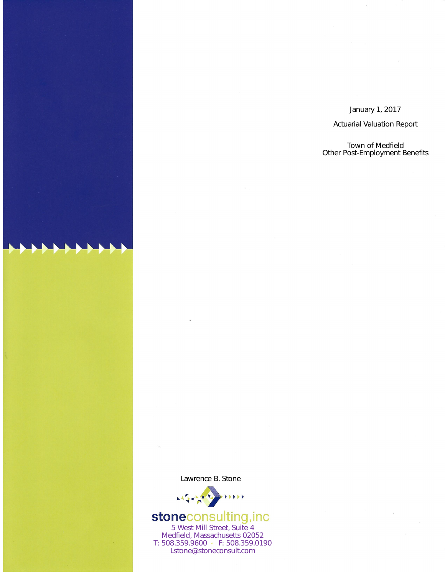January 1, 2017

**Actuarial Valuation Report** 

Town of Medfield Other Post-Employment Benefits

Lawrence B. Stone



# **stoneconsulting, inc**<br>5 West Mill Street, Suite 4

Medfield, Massachusetts 02052 T: 508.359.9600 • F: 508.359.0190 Lstone@stoneconsult.com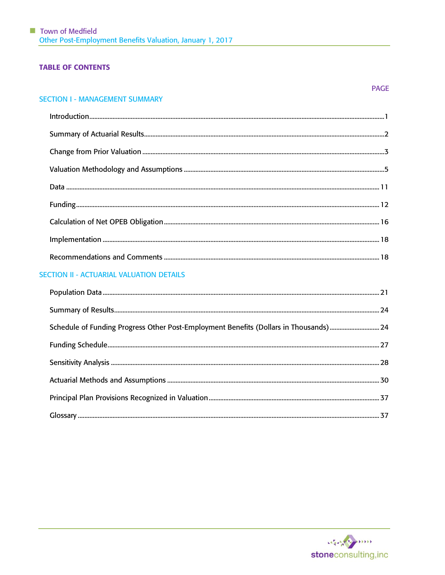# **TABLE OF CONTENTS**

#### **SECTION I - MANAGEMENT SUMMARY**

# SECTION II - ACTUARIAL VALUATION DETAILS

| Schedule of Funding Progress Other Post-Employment Benefits (Dollars in Thousands)  24 |  |
|----------------------------------------------------------------------------------------|--|
|                                                                                        |  |
|                                                                                        |  |
|                                                                                        |  |
|                                                                                        |  |
|                                                                                        |  |

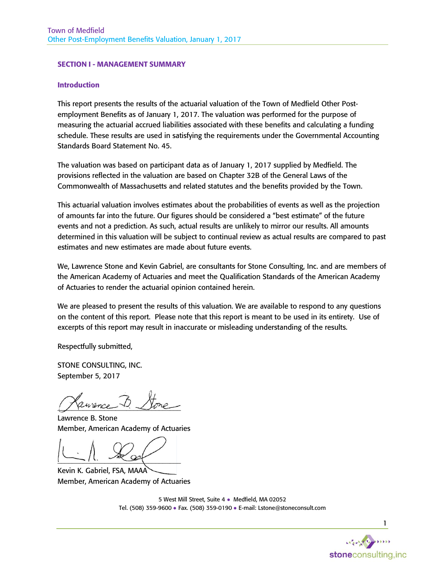#### SECTION I - MANAGEMENT SUMMARY

#### Introduction

This report presents the results of the actuarial valuation of the Town of Medfield Other Postemployment Benefits as of January 1, 2017. The valuation was performed for the purpose of measuring the actuarial accrued liabilities associated with these benefits and calculating a funding schedule. These results are used in satisfying the requirements under the Governmental Accounting Standards Board Statement No. 45.

The valuation was based on participant data as of January 1, 2017 supplied by Medfield. The provisions reflected in the valuation are based on Chapter 32B of the General Laws of the Commonwealth of Massachusetts and related statutes and the benefits provided by the Town.

This actuarial valuation involves estimates about the probabilities of events as well as the projection of amounts far into the future. Our figures should be considered a "best estimate" of the future events and not a prediction. As such, actual results are unlikely to mirror our results. All amounts determined in this valuation will be subject to continual review as actual results are compared to past estimates and new estimates are made about future events.

We, Lawrence Stone and Kevin Gabriel, are consultants for Stone Consulting, Inc. and are members of the American Academy of Actuaries and meet the Qualification Standards of the American Academy of Actuaries to render the actuarial opinion contained herein.

We are pleased to present the results of this valuation. We are available to respond to any questions on the content of this report. Please note that this report is meant to be used in its entirety. Use of excerpts of this report may result in inaccurate or misleading understanding of the results.

Respectfully submitted,

STONE CONSULTING, INC. September 5, 2017

 $a$ urence

Lawrence B. Stone Member, American Academy of Actuaries

 $-11.7$ 

Kevin K. Gabriel, FSA, MAAA Member, American Academy of Actuaries

5 West Mill Street, Suite 4 ● Medfield, MA 02052 Tel. (508) 359-9600 ● Fax. (508) 359-0190 ● E-mail: Lstone@stoneconsult.com

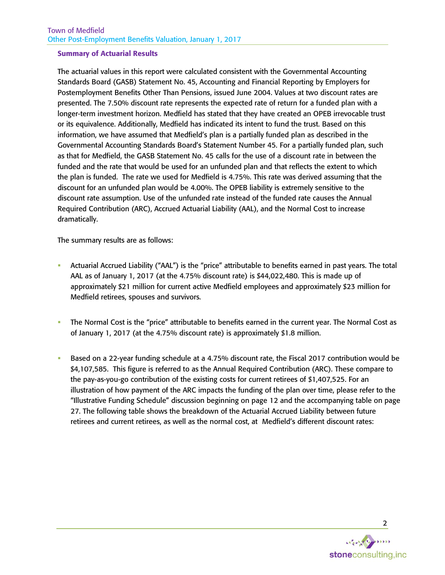#### Summary of Actuarial Results

The actuarial values in this report were calculated consistent with the Governmental Accounting Standards Board (GASB) Statement No. 45, Accounting and Financial Reporting by Employers for Postemployment Benefits Other Than Pensions, issued June 2004. Values at two discount rates are presented. The 7.50% discount rate represents the expected rate of return for a funded plan with a longer-term investment horizon. Medfield has stated that they have created an OPEB irrevocable trust or its equivalence. Additionally, Medfield has indicated its intent to fund the trust. Based on this information, we have assumed that Medfield's plan is a partially funded plan as described in the Governmental Accounting Standards Board's Statement Number 45. For a partially funded plan, such as that for Medfield, the GASB Statement No. 45 calls for the use of a discount rate in between the funded and the rate that would be used for an unfunded plan and that reflects the extent to which the plan is funded. The rate we used for Medfield is 4.75%. This rate was derived assuming that the discount for an unfunded plan would be 4.00%. The OPEB liability is extremely sensitive to the discount rate assumption. Use of the unfunded rate instead of the funded rate causes the Annual Required Contribution (ARC), Accrued Actuarial Liability (AAL), and the Normal Cost to increase dramatically.

The summary results are as follows:

- Actuarial Accrued Liability ("AAL") is the "price" attributable to benefits earned in past years. The total AAL as of January 1, 2017 (at the 4.75% discount rate) is \$44,022,480. This is made up of approximately \$21 million for current active Medfield employees and approximately \$23 million for Medfield retirees, spouses and survivors.
- The Normal Cost is the "price" attributable to benefits earned in the current year. The Normal Cost as of January 1, 2017 (at the 4.75% discount rate) is approximately \$1.8 million.
- Based on a 22-year funding schedule at a 4.75% discount rate, the Fiscal 2017 contribution would be \$4,107,585. This figure is referred to as the Annual Required Contribution (ARC). These compare to the pay-as-you-go contribution of the existing costs for current retirees of \$1,407,525. For an illustration of how payment of the ARC impacts the funding of the plan over time, please refer to the "Illustrative Funding Schedule" discussion beginning on page 12 and the accompanying table on page 27. The following table shows the breakdown of the Actuarial Accrued Liability between future retirees and current retirees, as well as the normal cost, at Medfield's different discount rates:

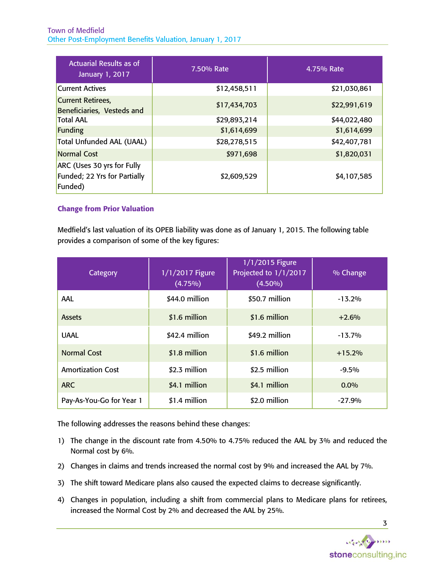| <b>Actuarial Results as of</b><br>January 1, 2017                     | 7.50% Rate   | 4.75% Rate   |
|-----------------------------------------------------------------------|--------------|--------------|
| <b>Current Actives</b>                                                | \$12,458,511 | \$21,030,861 |
| <b>Current Retirees,</b><br>Beneficiaries, Vesteds and                | \$17,434,703 | \$22,991,619 |
| <b>Total AAL</b>                                                      | \$29,893,214 | \$44,022,480 |
| Funding                                                               | \$1,614,699  | \$1,614,699  |
| Total Unfunded AAL (UAAL)                                             | \$28,278,515 | \$42,407,781 |
| <b>Normal Cost</b>                                                    | \$971,698    | \$1,820,031  |
| ARC (Uses 30 yrs for Fully<br>Funded; 22 Yrs for Partially<br>Funded) | \$2,609,529  | \$4,107,585  |

# Change from Prior Valuation

Medfield's last valuation of its OPEB liability was done as of January 1, 2015. The following table provides a comparison of some of the key figures:

| Category                 | 1/1/2017 Figure<br>$(4.75\%)$ | 1/1/2015 Figure<br>Projected to 1/1/2017<br>$(4.50\%)$ | % Change  |
|--------------------------|-------------------------------|--------------------------------------------------------|-----------|
| AAL                      | \$44.0 million                | \$50.7 million                                         | $-13.2%$  |
| <b>Assets</b>            | \$1.6 million                 | \$1.6 million                                          | $+2.6%$   |
| <b>UAAL</b>              | \$42.4 million                | \$49.2 million                                         | $-13.7\%$ |
| <b>Normal Cost</b>       | \$1.8 million                 | \$1.6 million                                          | $+15.2%$  |
| <b>Amortization Cost</b> | \$2.3 million                 | \$2.5 million                                          | $-9.5%$   |
| <b>ARC</b>               | \$4.1 million                 | \$4.1 million                                          | $0.0\%$   |
| Pay-As-You-Go for Year 1 | \$1.4 million                 | \$2.0 million                                          | $-27.9%$  |

The following addresses the reasons behind these changes:

- 1) The change in the discount rate from 4.50% to 4.75% reduced the AAL by 3% and reduced the Normal cost by 6%.
- 2) Changes in claims and trends increased the normal cost by 9% and increased the AAL by 7%.
- 3) The shift toward Medicare plans also caused the expected claims to decrease significantly.
- 4) Changes in population, including a shift from commercial plans to Medicare plans for retirees, increased the Normal Cost by 2% and decreased the AAL by 25%.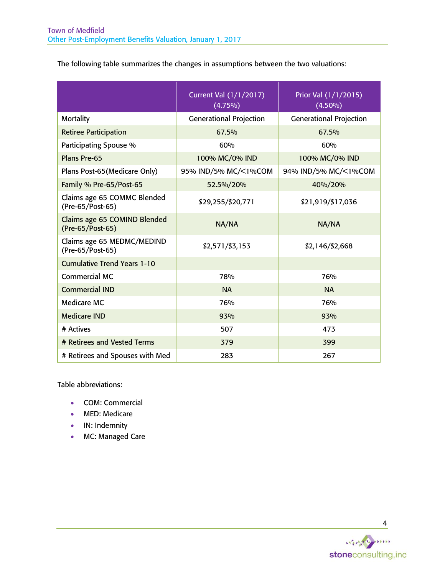The following table summarizes the changes in assumptions between the two valuations:

|                                                  | <b>Current Val (1/1/2017)</b><br>$(4.75\%)$ | Prior Val (1/1/2015)<br>$(4.50\%)$ |
|--------------------------------------------------|---------------------------------------------|------------------------------------|
| <b>Mortality</b>                                 | <b>Generational Projection</b>              | <b>Generational Projection</b>     |
| <b>Retiree Participation</b>                     | 67.5%                                       | 67.5%                              |
| Participating Spouse %                           | 60%                                         | 60%                                |
| Plans Pre-65                                     | 100% MC/0% IND                              | 100% MC/0% IND                     |
| Plans Post-65 (Medicare Only)                    | 95% IND/5% MC/<1%COM                        | 94% IND/5% MC/<1%COM               |
| Family % Pre-65/Post-65                          | 52.5%/20%                                   | 40%/20%                            |
| Claims age 65 COMMC Blended<br>(Pre-65/Post-65)  | \$29,255/\$20,771                           | \$21,919/\$17,036                  |
| Claims age 65 COMIND Blended<br>(Pre-65/Post-65) | NA/NA                                       | NA/NA                              |
| Claims age 65 MEDMC/MEDIND<br>(Pre-65/Post-65)   | \$2,571/\$3,153                             | \$2,146/\$2,668                    |
| <b>Cumulative Trend Years 1-10</b>               |                                             |                                    |
| <b>Commercial MC</b>                             | 78%                                         | 76%                                |
| <b>Commercial IND</b>                            | <b>NA</b>                                   | <b>NA</b>                          |
| Medicare MC                                      | 76%                                         | 76%                                |
| <b>Medicare IND</b>                              | 93%                                         | 93%                                |
| # Actives                                        | 507                                         | 473                                |
| # Retirees and Vested Terms                      | 379                                         | 399                                |
| # Retirees and Spouses with Med                  | 283                                         | 267                                |

Table abbreviations:

- COM: Commercial
- MED: Medicare
- IN: Indemnity
- MC: Managed Care

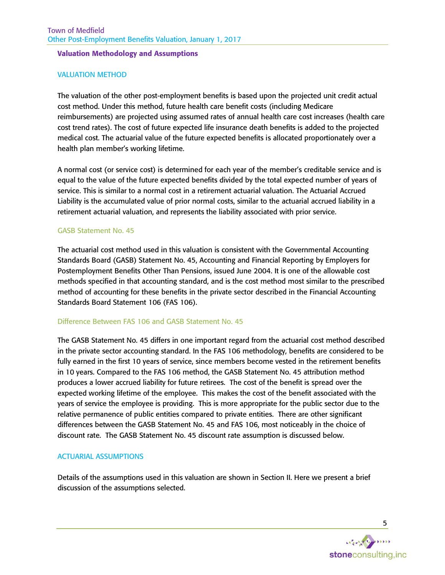#### Valuation Methodology and Assumptions

#### VALUATION METHOD

The valuation of the other post-employment benefits is based upon the projected unit credit actual cost method. Under this method, future health care benefit costs (including Medicare reimbursements) are projected using assumed rates of annual health care cost increases (health care cost trend rates). The cost of future expected life insurance death benefits is added to the projected medical cost. The actuarial value of the future expected benefits is allocated proportionately over a health plan member's working lifetime.

A normal cost (or service cost) is determined for each year of the member's creditable service and is equal to the value of the future expected benefits divided by the total expected number of years of service. This is similar to a normal cost in a retirement actuarial valuation. The Actuarial Accrued Liability is the accumulated value of prior normal costs, similar to the actuarial accrued liability in a retirement actuarial valuation, and represents the liability associated with prior service.

#### GASB Statement No. 45

The actuarial cost method used in this valuation is consistent with the Governmental Accounting Standards Board (GASB) Statement No. 45, Accounting and Financial Reporting by Employers for Postemployment Benefits Other Than Pensions, issued June 2004. It is one of the allowable cost methods specified in that accounting standard, and is the cost method most similar to the prescribed method of accounting for these benefits in the private sector described in the Financial Accounting Standards Board Statement 106 (FAS 106).

#### Difference Between FAS 106 and GASB Statement No. 45

The GASB Statement No. 45 differs in one important regard from the actuarial cost method described in the private sector accounting standard. In the FAS 106 methodology, benefits are considered to be fully earned in the first 10 years of service, since members become vested in the retirement benefits in 10 years. Compared to the FAS 106 method, the GASB Statement No. 45 attribution method produces a lower accrued liability for future retirees. The cost of the benefit is spread over the expected working lifetime of the employee. This makes the cost of the benefit associated with the years of service the employee is providing. This is more appropriate for the public sector due to the relative permanence of public entities compared to private entities. There are other significant differences between the GASB Statement No. 45 and FAS 106, most noticeably in the choice of discount rate. The GASB Statement No. 45 discount rate assumption is discussed below.

#### ACTUARIAL ASSUMPTIONS

Details of the assumptions used in this valuation are shown in Section II. Here we present a brief discussion of the assumptions selected.

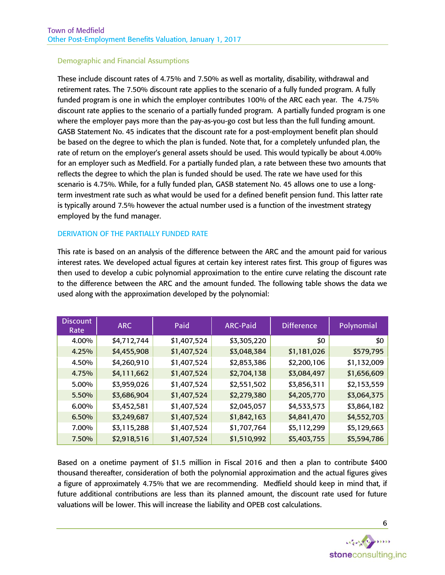# Demographic and Financial Assumptions

These include discount rates of 4.75% and 7.50% as well as mortality, disability, withdrawal and retirement rates. The 7.50% discount rate applies to the scenario of a fully funded program. A fully funded program is one in which the employer contributes 100% of the ARC each year. The 4.75% discount rate applies to the scenario of a partially funded program. A partially funded program is one where the employer pays more than the pay-as-you-go cost but less than the full funding amount. GASB Statement No. 45 indicates that the discount rate for a post-employment benefit plan should be based on the degree to which the plan is funded. Note that, for a completely unfunded plan, the rate of return on the employer's general assets should be used. This would typically be about 4.00% for an employer such as Medfield. For a partially funded plan, a rate between these two amounts that reflects the degree to which the plan is funded should be used. The rate we have used for this scenario is 4.75%. While, for a fully funded plan, GASB statement No. 45 allows one to use a longterm investment rate such as what would be used for a defined benefit pension fund. This latter rate is typically around 7.5% however the actual number used is a function of the investment strategy employed by the fund manager.

## DERIVATION OF THE PARTIALLY FUNDED RATE

This rate is based on an analysis of the difference between the ARC and the amount paid for various interest rates. We developed actual figures at certain key interest rates first. This group of figures was then used to develop a cubic polynomial approximation to the entire curve relating the discount rate to the difference between the ARC and the amount funded. The following table shows the data we used along with the approximation developed by the polynomial:

| <b>Discount</b><br>Rate | <b>ARC</b>  | Paid        | <b>ARC-Paid</b> | <b>Difference</b> | Polynomial  |
|-------------------------|-------------|-------------|-----------------|-------------------|-------------|
| 4.00%                   | \$4,712,744 | \$1,407,524 | \$3,305,220     | \$0               | \$0         |
| 4.25%                   | \$4,455,908 | \$1,407,524 | \$3,048,384     | \$1,181,026       | \$579,795   |
| 4.50%                   | \$4,260,910 | \$1,407,524 | \$2,853,386     | \$2,200,106       | \$1,132,009 |
| 4.75%                   | \$4,111,662 | \$1,407,524 | \$2,704,138     | \$3,084,497       | \$1,656,609 |
| 5.00%                   | \$3,959,026 | \$1,407,524 | \$2,551,502     | \$3,856,311       | \$2,153,559 |
| 5.50%                   | \$3,686,904 | \$1,407,524 | \$2,279,380     | \$4,205,770       | \$3,064,375 |
| $6.00\%$                | \$3,452,581 | \$1,407,524 | \$2,045,057     | \$4,533,573       | \$3,864,182 |
| 6.50%                   | \$3,249,687 | \$1,407,524 | \$1,842,163     | \$4,841,470       | \$4,552,703 |
| 7.00%                   | \$3,115,288 | \$1,407,524 | \$1,707,764     | \$5,112,299       | \$5,129,663 |
| 7.50%                   | \$2,918,516 | \$1,407,524 | \$1,510,992     | \$5,403,755       | \$5,594,786 |

Based on a onetime payment of \$1.5 million in Fiscal 2016 and then a plan to contribute \$400 thousand thereafter, consideration of both the polynomial approximation and the actual figures gives a figure of approximately 4.75% that we are recommending. Medfield should keep in mind that, if future additional contributions are less than its planned amount, the discount rate used for future valuations will be lower. This will increase the liability and OPEB cost calculations.

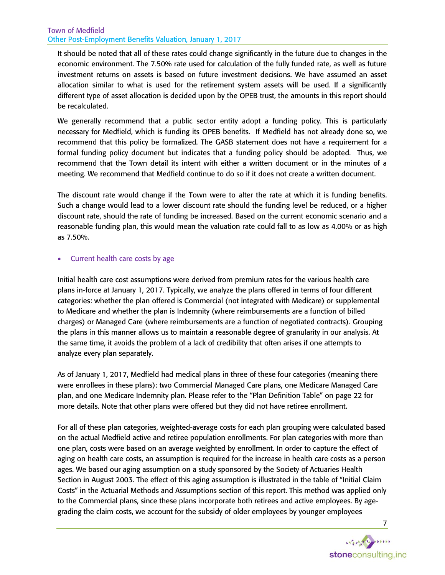It should be noted that all of these rates could change significantly in the future due to changes in the economic environment. The 7.50% rate used for calculation of the fully funded rate, as well as future investment returns on assets is based on future investment decisions. We have assumed an asset allocation similar to what is used for the retirement system assets will be used. If a significantly different type of asset allocation is decided upon by the OPEB trust, the amounts in this report should be recalculated.

We generally recommend that a public sector entity adopt a funding policy. This is particularly necessary for Medfield, which is funding its OPEB benefits. If Medfield has not already done so, we recommend that this policy be formalized. The GASB statement does not have a requirement for a formal funding policy document but indicates that a funding policy should be adopted. Thus, we recommend that the Town detail its intent with either a written document or in the minutes of a meeting. We recommend that Medfield continue to do so if it does not create a written document.

The discount rate would change if the Town were to alter the rate at which it is funding benefits. Such a change would lead to a lower discount rate should the funding level be reduced, or a higher discount rate, should the rate of funding be increased. Based on the current economic scenario and a reasonable funding plan, this would mean the valuation rate could fall to as low as 4.00% or as high as 7.50%.

## • Current health care costs by age

Initial health care cost assumptions were derived from premium rates for the various health care plans in-force at January 1, 2017. Typically, we analyze the plans offered in terms of four different categories: whether the plan offered is Commercial (not integrated with Medicare) or supplemental to Medicare and whether the plan is Indemnity (where reimbursements are a function of billed charges) or Managed Care (where reimbursements are a function of negotiated contracts). Grouping the plans in this manner allows us to maintain a reasonable degree of granularity in our analysis. At the same time, it avoids the problem of a lack of credibility that often arises if one attempts to analyze every plan separately.

As of January 1, 2017, Medfield had medical plans in three of these four categories (meaning there were enrollees in these plans): two Commercial Managed Care plans, one Medicare Managed Care plan, and one Medicare Indemnity plan. Please refer to the "Plan Definition Table" on page 22 for more details. Note that other plans were offered but they did not have retiree enrollment.

For all of these plan categories, weighted-average costs for each plan grouping were calculated based on the actual Medfield active and retiree population enrollments. For plan categories with more than one plan, costs were based on an average weighted by enrollment. In order to capture the effect of aging on health care costs, an assumption is required for the increase in health care costs as a person ages. We based our aging assumption on a study sponsored by the Society of Actuaries Health Section in August 2003. The effect of this aging assumption is illustrated in the table of "Initial Claim Costs" in the Actuarial Methods and Assumptions section of this report. This method was applied only to the Commercial plans, since these plans incorporate both retirees and active employees. By agegrading the claim costs, we account for the subsidy of older employees by younger employees

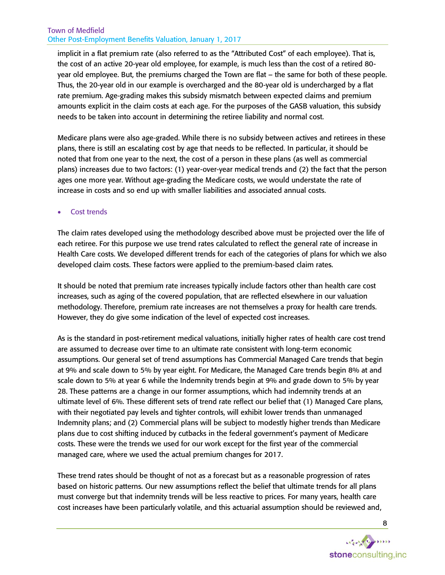implicit in a flat premium rate (also referred to as the "Attributed Cost" of each employee). That is, the cost of an active 20-year old employee, for example, is much less than the cost of a retired 80 year old employee. But, the premiums charged the Town are flat – the same for both of these people. Thus, the 20-year old in our example is overcharged and the 80-year old is undercharged by a flat rate premium. Age-grading makes this subsidy mismatch between expected claims and premium amounts explicit in the claim costs at each age. For the purposes of the GASB valuation, this subsidy needs to be taken into account in determining the retiree liability and normal cost.

Medicare plans were also age-graded. While there is no subsidy between actives and retirees in these plans, there is still an escalating cost by age that needs to be reflected. In particular, it should be noted that from one year to the next, the cost of a person in these plans (as well as commercial plans) increases due to two factors: (1) year-over-year medical trends and (2) the fact that the person ages one more year. Without age-grading the Medicare costs, we would understate the rate of increase in costs and so end up with smaller liabilities and associated annual costs.

# Cost trends

The claim rates developed using the methodology described above must be projected over the life of each retiree. For this purpose we use trend rates calculated to reflect the general rate of increase in Health Care costs. We developed different trends for each of the categories of plans for which we also developed claim costs. These factors were applied to the premium-based claim rates.

It should be noted that premium rate increases typically include factors other than health care cost increases, such as aging of the covered population, that are reflected elsewhere in our valuation methodology. Therefore, premium rate increases are not themselves a proxy for health care trends. However, they do give some indication of the level of expected cost increases.

As is the standard in post-retirement medical valuations, initially higher rates of health care cost trend are assumed to decrease over time to an ultimate rate consistent with long-term economic assumptions. Our general set of trend assumptions has Commercial Managed Care trends that begin at 9% and scale down to 5% by year eight. For Medicare, the Managed Care trends begin 8% at and scale down to 5% at year 6 while the Indemnity trends begin at 9% and grade down to 5% by year 28. These patterns are a change in our former assumptions, which had indemnity trends at an ultimate level of 6%. These different sets of trend rate reflect our belief that (1) Managed Care plans, with their negotiated pay levels and tighter controls, will exhibit lower trends than unmanaged Indemnity plans; and (2) Commercial plans will be subject to modestly higher trends than Medicare plans due to cost shifting induced by cutbacks in the federal government's payment of Medicare costs. These were the trends we used for our work except for the first year of the commercial managed care, where we used the actual premium changes for 2017.

These trend rates should be thought of not as a forecast but as a reasonable progression of rates based on historic patterns. Our new assumptions reflect the belief that ultimate trends for all plans must converge but that indemnity trends will be less reactive to prices. For many years, health care cost increases have been particularly volatile, and this actuarial assumption should be reviewed and,

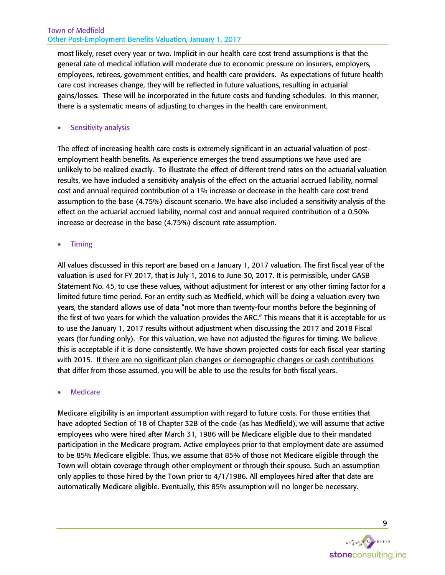most likely, reset every year or two. Implicit in our health care cost trend assumptions is that the general rate of medical inflation will moderate due to economic pressure on insurers, employers, employees, retirees, government entities, and health care providers. As expectations of future health care cost increases change, they will be reflected in future valuations, resulting in actuarial gains/losses. These will be incorporated in the future costs and funding schedules. In this manner, there is a systematic means of adjusting to changes in the health care environment.

# Sensitivity analysis

The effect of increasing health care costs is extremely significant in an actuarial valuation of postemployment health benefits. As experience emerges the trend assumptions we have used are unlikely to be realized exactly. To illustrate the effect of different trend rates on the actuarial valuation results, we have included a sensitivity analysis of the effect on the actuarial accrued liability, normal cost and annual required contribution of a 1% increase or decrease in the health care cost trend assumption to the base (4.75%) discount scenario. We have also included a sensitivity analysis of the effect on the actuarial accrued liability, normal cost and annual required contribution of a 0.50% increase or decrease in the base (4.75%) discount rate assumption.

# • Timing

All values discussed in this report are based on a January 1, 2017 valuation. The first fiscal year of the valuation is used for FY 2017, that is July 1, 2016 to June 30, 2017. It is permissible, under GASB Statement No. 45, to use these values, without adjustment for interest or any other timing factor for a limited future time period. For an entity such as Medfield, which will be doing a valuation every two years, the standard allows use of data "not more than twenty-four months before the beginning of the first of two years for which the valuation provides the ARC." This means that it is acceptable for us to use the January 1, 2017 results without adjustment when discussing the 2017 and 2018 Fiscal years (for funding only). For this valuation, we have not adjusted the figures for timing. We believe this is acceptable if it is done consistently. We have shown projected costs for each fiscal year starting with 2015. If there are no significant plan changes or demographic changes or cash contributions that differ from those assumed, you will be able to use the results for both fiscal years.

# **Medicare**

Medicare eligibility is an important assumption with regard to future costs. For those entities that have adopted Section of 18 of Chapter 32B of the code (as has Medfield), we will assume that active employees who were hired after March 31, 1986 will be Medicare eligible due to their mandated participation in the Medicare program. Active employees prior to that employment date are assumed to be 85% Medicare eligible. Thus, we assume that 85% of those not Medicare eligible through the Town will obtain coverage through other employment or through their spouse. Such an assumption only applies to those hired by the Town prior to 4/1/1986. All employees hired after that date are automatically Medicare eligible. Eventually, this 85% assumption will no longer be necessary.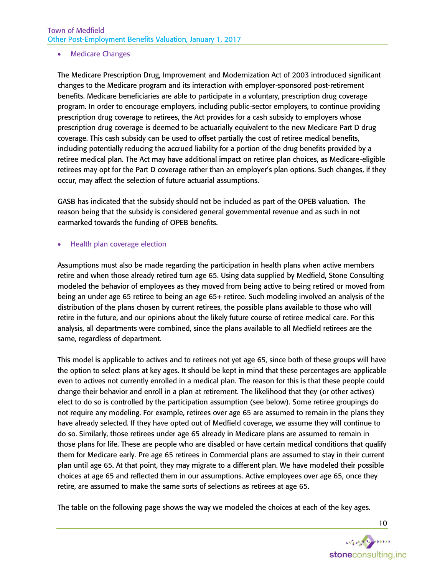## • Medicare Changes

The Medicare Prescription Drug, Improvement and Modernization Act of 2003 introduced significant changes to the Medicare program and its interaction with employer-sponsored post-retirement benefits. Medicare beneficiaries are able to participate in a voluntary, prescription drug coverage program. In order to encourage employers, including public-sector employers, to continue providing prescription drug coverage to retirees, the Act provides for a cash subsidy to employers whose prescription drug coverage is deemed to be actuarially equivalent to the new Medicare Part D drug coverage. This cash subsidy can be used to offset partially the cost of retiree medical benefits, including potentially reducing the accrued liability for a portion of the drug benefits provided by a retiree medical plan. The Act may have additional impact on retiree plan choices, as Medicare-eligible retirees may opt for the Part D coverage rather than an employer's plan options. Such changes, if they occur, may affect the selection of future actuarial assumptions.

GASB has indicated that the subsidy should not be included as part of the OPEB valuation. The reason being that the subsidy is considered general governmental revenue and as such in not earmarked towards the funding of OPEB benefits.

## • Health plan coverage election

Assumptions must also be made regarding the participation in health plans when active members retire and when those already retired turn age 65. Using data supplied by Medfield, Stone Consulting modeled the behavior of employees as they moved from being active to being retired or moved from being an under age 65 retiree to being an age 65+ retiree. Such modeling involved an analysis of the distribution of the plans chosen by current retirees, the possible plans available to those who will retire in the future, and our opinions about the likely future course of retiree medical care. For this analysis, all departments were combined, since the plans available to all Medfield retirees are the same, regardless of department.

This model is applicable to actives and to retirees not yet age 65, since both of these groups will have the option to select plans at key ages. It should be kept in mind that these percentages are applicable even to actives not currently enrolled in a medical plan. The reason for this is that these people could change their behavior and enroll in a plan at retirement. The likelihood that they (or other actives) elect to do so is controlled by the participation assumption (see below). Some retiree groupings do not require any modeling. For example, retirees over age 65 are assumed to remain in the plans they have already selected. If they have opted out of Medfield coverage, we assume they will continue to do so. Similarly, those retirees under age 65 already in Medicare plans are assumed to remain in those plans for life. These are people who are disabled or have certain medical conditions that qualify them for Medicare early. Pre age 65 retirees in Commercial plans are assumed to stay in their current plan until age 65. At that point, they may migrate to a different plan. We have modeled their possible choices at age 65 and reflected them in our assumptions. Active employees over age 65, once they retire, are assumed to make the same sorts of selections as retirees at age 65.

The table on the following page shows the way we modeled the choices at each of the key ages.

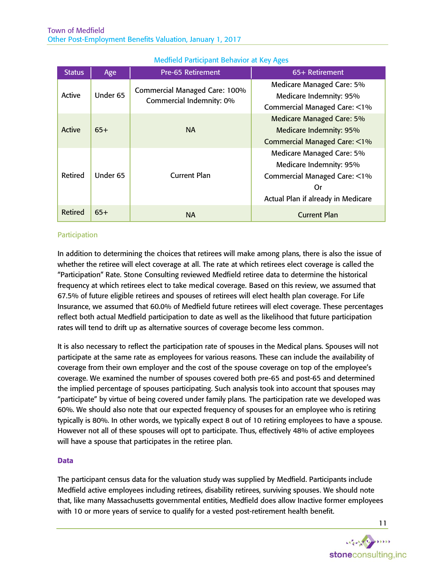| <b>Status</b>  | Age      | <b>Pre-65 Retirement</b>                                         | 65+ Retirement                                                                                                                   |
|----------------|----------|------------------------------------------------------------------|----------------------------------------------------------------------------------------------------------------------------------|
| Active         | Under 65 | <b>Commercial Managed Care: 100%</b><br>Commercial Indemnity: 0% | Medicare Managed Care: 5%<br>Medicare Indemnity: 95%<br>Commercial Managed Care: <1%                                             |
| <b>Active</b>  | $65+$    | <b>NA</b>                                                        | <b>Medicare Managed Care: 5%</b><br><b>Medicare Indemnity: 95%</b><br><b>Commercial Managed Care: &lt;1%</b>                     |
| Retired        | Under 65 | <b>Current Plan</b>                                              | Medicare Managed Care: 5%<br>Medicare Indemnity: 95%<br>Commercial Managed Care: <1%<br>Or<br>Actual Plan if already in Medicare |
| <b>Retired</b> | $65+$    | <b>NA</b>                                                        | <b>Current Plan</b>                                                                                                              |

# <span id="page-12-0"></span>Medfield Participant Behavior at Key Ages

# **Participation**

In addition to determining the choices that retirees will make among plans, there is also the issue of whether the retiree will elect coverage at all. The rate at which retirees elect coverage is called the "Participation" Rate. Stone Consulting reviewed Medfield retiree data to determine the historical frequency at which retirees elect to take medical coverage. Based on this review, we assumed that 67.5% of future eligible retirees and spouses of retirees will elect health plan coverage. For Life Insurance, we assumed that 60.0% of Medfield future retirees will elect coverage. These percentages reflect both actual Medfield participation to date as well as the likelihood that future participation rates will tend to drift up as alternative sources of coverage become less common.

It is also necessary to reflect the participation rate of spouses in the Medical plans. Spouses will not participate at the same rate as employees for various reasons. These can include the availability of coverage from their own employer and the cost of the spouse coverage on top of the employee's coverage. We examined the number of spouses covered both pre-65 and post-65 and determined the implied percentage of spouses participating. Such analysis took into account that spouses may "participate" by virtue of being covered under family plans. The participation rate we developed was 60%. We should also note that our expected frequency of spouses for an employee who is retiring typically is 80%. In other words, we typically expect 8 out of 10 retiring employees to have a spouse. However not all of these spouses will opt to participate. Thus, effectively 48% of active employees will have a spouse that participates in the retiree plan.

#### Data

The participant census data for the valuation study was supplied by Medfield. Participants include Medfield active employees including retirees, disability retirees, surviving spouses. We should note that, like many Massachusetts governmental entities, Medfield does allow Inactive former employees with 10 or more years of service to qualify for a vested post-retirement health benefit.

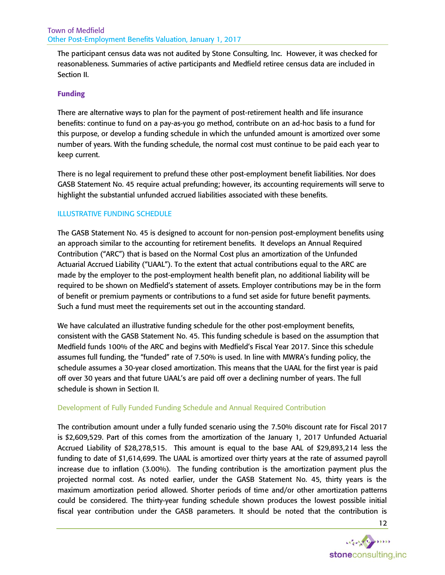The participant census data was not audited by Stone Consulting, Inc. However, it was checked for reasonableness. Summaries of active participants and Medfield retiree census data are included in Section II.

# Funding

There are alternative ways to plan for the payment of post-retirement health and life insurance benefits: continue to fund on a pay-as-you go method, contribute on an ad-hoc basis to a fund for this purpose, or develop a funding schedule in which the unfunded amount is amortized over some number of years. With the funding schedule, the normal cost must continue to be paid each year to keep current.

There is no legal requirement to prefund these other post-employment benefit liabilities. Nor does GASB Statement No. 45 require actual prefunding; however, its accounting requirements will serve to highlight the substantial unfunded accrued liabilities associated with these benefits.

## ILLUSTRATIVE FUNDING SCHEDULE

The GASB Statement No. 45 is designed to account for non-pension post-employment benefits using an approach similar to the accounting for retirement benefits. It develops an Annual Required Contribution ("ARC") that is based on the Normal Cost plus an amortization of the Unfunded Actuarial Accrued Liability ("UAAL"). To the extent that actual contributions equal to the ARC are made by the employer to the post-employment health benefit plan, no additional liability will be required to be shown on Medfield's statement of assets. Employer contributions may be in the form of benefit or premium payments or contributions to a fund set aside for future benefit payments. Such a fund must meet the requirements set out in the accounting standard.

We have calculated an illustrative funding schedule for the other post-employment benefits, consistent with the GASB Statement No. 45. This funding schedule is based on the assumption that Medfield funds 100% of the ARC and begins with Medfield's Fiscal Year 2017. Since this schedule assumes full funding, the "funded" rate of 7.50% is used. In line with MWRA's funding policy, the schedule assumes a 30-year closed amortization. This means that the UAAL for the first year is paid off over 30 years and that future UAAL's are paid off over a declining number of years. The full schedule is shown in Section II.

#### Development of Fully Funded Funding Schedule and Annual Required Contribution

The contribution amount under a fully funded scenario using the 7.50% discount rate for Fiscal 2017 is \$2,609,529. Part of this comes from the amortization of the January 1, 2017 Unfunded Actuarial Accrued Liability of \$28,278,515. This amount is equal to the base AAL of \$29,893,214 less the funding to date of \$1,614,699. The UAAL is amortized over thirty years at the rate of assumed payroll increase due to inflation (3.00%). The funding contribution is the amortization payment plus the projected normal cost. As noted earlier, under the GASB Statement No. 45, thirty years is the maximum amortization period allowed. Shorter periods of time and/or other amortization patterns could be considered. The thirty-year funding schedule shown produces the lowest possible initial fiscal year contribution under the GASB parameters. It should be noted that the contribution is

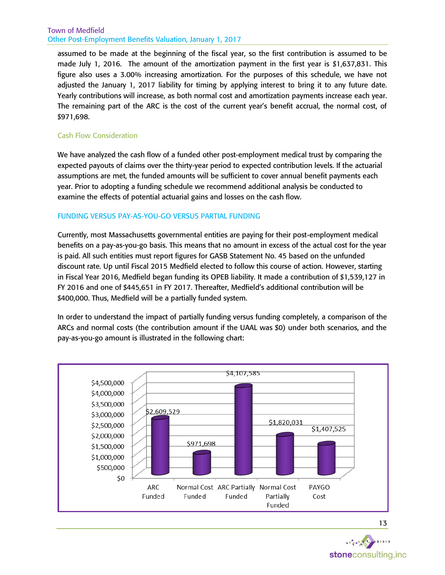assumed to be made at the beginning of the fiscal year, so the first contribution is assumed to be made July 1, 2016. The amount of the amortization payment in the first year is \$1,637,831. This figure also uses a 3.00% increasing amortization. For the purposes of this schedule, we have not adjusted the January 1, 2017 liability for timing by applying interest to bring it to any future date. Yearly contributions will increase, as both normal cost and amortization payments increase each year. The remaining part of the ARC is the cost of the current year's benefit accrual, the normal cost, of \$971,698.

# Cash Flow Consideration

We have analyzed the cash flow of a funded other post-employment medical trust by comparing the expected payouts of claims over the thirty-year period to expected contribution levels. If the actuarial assumptions are met, the funded amounts will be sufficient to cover annual benefit payments each year. Prior to adopting a funding schedule we recommend additional analysis be conducted to examine the effects of potential actuarial gains and losses on the cash flow.

# FUNDING VERSUS PAY-AS-YOU-GO VERSUS PARTIAL FUNDING

Currently, most Massachusetts governmental entities are paying for their post-employment medical benefits on a pay-as-you-go basis. This means that no amount in excess of the actual cost for the year is paid. All such entities must report figures for GASB Statement No. 45 based on the unfunded discount rate. Up until Fiscal 2015 Medfield elected to follow this course of action. However, starting in Fiscal Year 2016, Medfield began funding its OPEB liability. It made a contribution of \$1,539,127 in FY 2016 and one of \$445,651 in FY 2017. Thereafter, Medfield's additional contribution will be \$400,000. Thus, Medfield will be a partially funded system.

In order to understand the impact of partially funding versus funding completely, a comparison of the ARCs and normal costs (the contribution amount if the UAAL was \$0) under both scenarios, and the pay-as-you-go amount is illustrated in the following chart:



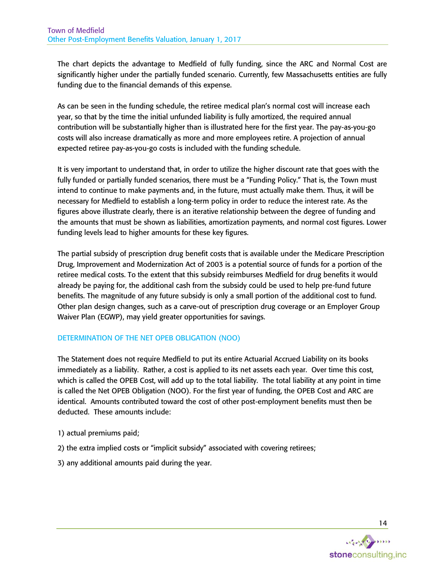The chart depicts the advantage to Medfield of fully funding, since the ARC and Normal Cost are significantly higher under the partially funded scenario. Currently, few Massachusetts entities are fully funding due to the financial demands of this expense.

As can be seen in the funding schedule, the retiree medical plan's normal cost will increase each year, so that by the time the initial unfunded liability is fully amortized, the required annual contribution will be substantially higher than is illustrated here for the first year. The pay-as-you-go costs will also increase dramatically as more and more employees retire. A projection of annual expected retiree pay-as-you-go costs is included with the funding schedule.

It is very important to understand that, in order to utilize the higher discount rate that goes with the fully funded or partially funded scenarios, there must be a "Funding Policy." That is, the Town must intend to continue to make payments and, in the future, must actually make them. Thus, it will be necessary for Medfield to establish a long-term policy in order to reduce the interest rate. As the figures above illustrate clearly, there is an iterative relationship between the degree of funding and the amounts that must be shown as liabilities, amortization payments, and normal cost figures. Lower funding levels lead to higher amounts for these key figures.

The partial subsidy of prescription drug benefit costs that is available under the Medicare Prescription Drug, Improvement and Modernization Act of 2003 is a potential source of funds for a portion of the retiree medical costs. To the extent that this subsidy reimburses Medfield for drug benefits it would already be paying for, the additional cash from the subsidy could be used to help pre-fund future benefits. The magnitude of any future subsidy is only a small portion of the additional cost to fund. Other plan design changes, such as a carve-out of prescription drug coverage or an Employer Group Waiver Plan (EGWP), may yield greater opportunities for savings.

# DETERMINATION OF THE NET OPEB OBLIGATION (NOO)

The Statement does not require Medfield to put its entire Actuarial Accrued Liability on its books immediately as a liability. Rather, a cost is applied to its net assets each year. Over time this cost, which is called the OPEB Cost, will add up to the total liability. The total liability at any point in time is called the Net OPEB Obligation (NOO). For the first year of funding, the OPEB Cost and ARC are identical. Amounts contributed toward the cost of other post-employment benefits must then be deducted. These amounts include:

- 1) actual premiums paid;
- 2) the extra implied costs or "implicit subsidy" associated with covering retirees;
- 3) any additional amounts paid during the year.

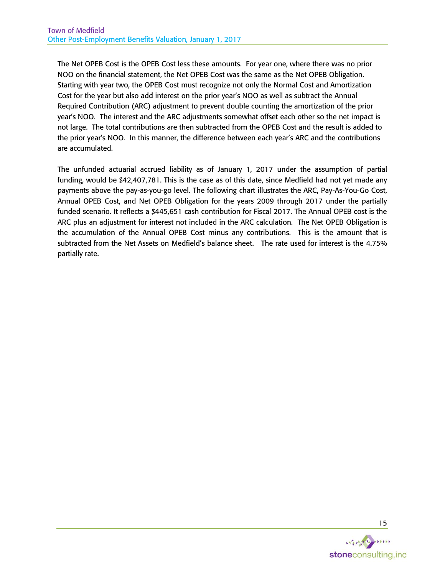The Net OPEB Cost is the OPEB Cost less these amounts. For year one, where there was no prior NOO on the financial statement, the Net OPEB Cost was the same as the Net OPEB Obligation. Starting with year two, the OPEB Cost must recognize not only the Normal Cost and Amortization Cost for the year but also add interest on the prior year's NOO as well as subtract the Annual Required Contribution (ARC) adjustment to prevent double counting the amortization of the prior year's NOO. The interest and the ARC adjustments somewhat offset each other so the net impact is not large. The total contributions are then subtracted from the OPEB Cost and the result is added to the prior year's NOO. In this manner, the difference between each year's ARC and the contributions are accumulated.

The unfunded actuarial accrued liability as of January 1, 2017 under the assumption of partial funding, would be \$42,407,781. This is the case as of this date, since Medfield had not yet made any payments above the pay-as-you-go level. The following chart illustrates the ARC, Pay-As-You-Go Cost, Annual OPEB Cost, and Net OPEB Obligation for the years 2009 through 2017 under the partially funded scenario. It reflects a \$445,651 cash contribution for Fiscal 2017. The Annual OPEB cost is the ARC plus an adjustment for interest not included in the ARC calculation. The Net OPEB Obligation is the accumulation of the Annual OPEB Cost minus any contributions. This is the amount that is subtracted from the Net Assets on Medfield's balance sheet. The rate used for interest is the 4.75% partially rate.

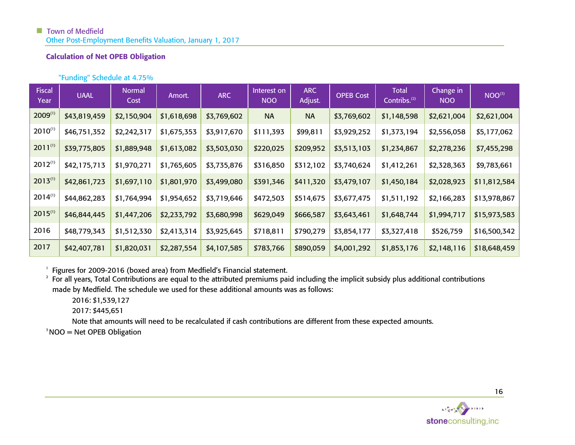# Calculation of Net OPEB Obligation

# "Funding" Schedule at 4.75%

| <b>Fiscal</b><br>Year | <b>UAAL</b>  | <b>Normal</b><br>Cost | Amort.      | <b>ARC</b>  | Interest on<br><b>NOO</b> | <b>ARC</b><br>Adjust. | <b>OPEB Cost</b> | <b>Total</b><br>Contribs. <sup>(2)</sup> | Change in<br><b>NOO</b> | NOO <sup>(3)</sup> |
|-----------------------|--------------|-----------------------|-------------|-------------|---------------------------|-----------------------|------------------|------------------------------------------|-------------------------|--------------------|
| $2009^{(1)}$          | \$43,819,459 | \$2,150,904           | \$1,618,698 | \$3,769,602 | <b>NA</b>                 | <b>NA</b>             | \$3,769,602      | \$1,148,598                              | \$2,621,004             | \$2,621,004        |
| $2010^{(1)}$          | \$46,751,352 | \$2,242,317           | \$1,675,353 | \$3,917,670 | \$111,393                 | \$99,811              | \$3,929,252      | \$1,373,194                              | \$2,556,058             | \$5,177,062        |
| $2011^{(1)}$          | \$39,775,805 | \$1,889,948           | \$1,613,082 | \$3,503,030 | \$220,025                 | \$209,952             | \$3,513,103      | \$1,234,867                              | \$2,278,236             | \$7,455,298        |
| $2012^{(1)}$          | \$42,175,713 | \$1,970,271           | \$1,765,605 | \$3,735,876 | \$316,850                 | \$312,102             | \$3,740,624      | \$1,412,261                              | \$2,328,363             | \$9,783,661        |
| $2013^{(1)}$          | \$42,861,723 | \$1,697,110           | \$1,801,970 | \$3,499,080 | \$391,346                 | \$411,320             | \$3,479,107      | \$1,450,184                              | \$2,028,923             | \$11,812,584       |
| $2014^{(1)}$          | \$44,862,283 | \$1,764,994           | \$1,954,652 | \$3,719,646 | \$472,503                 | \$514,675             | \$3,677,475      | \$1,511,192                              | \$2,166,283             | \$13,978,867       |
| $2015^{(1)}$          | \$46,844,445 | \$1,447,206           | \$2,233,792 | \$3,680,998 | \$629,049                 | \$666,587             | \$3,643,461      | \$1,648,744                              | \$1,994,717             | \$15,973,583       |
| 2016                  | \$48,779,343 | \$1,512,330           | \$2,413,314 | \$3,925,645 | \$718,811                 | \$790,279             | \$3,854,177      | \$3,327,418                              | \$526,759               | \$16,500,342       |
| 2017                  | \$42,407,781 | \$1,820,031           | \$2,287,554 | \$4,107,585 | \$783,766                 | \$890,059             | \$4,001,292      | \$1,853,176                              | \$2,148,116             | \$18,648,459       |

<sup>1</sup> Figures for 2009-2016 (boxed area) from Medfield's Financial statement.

 $2$  For all years, Total Contributions are equal to the attributed premiums paid including the implicit subsidy plus additional contributions made by Medfield. The schedule we used for these additional amounts was as follows:

2016: \$1,539,127

2017: \$445,651

Note that amounts will need to be recalculated if cash contributions are different from these expected amounts.

 $3NOO = Net OPEB Obligation$ 

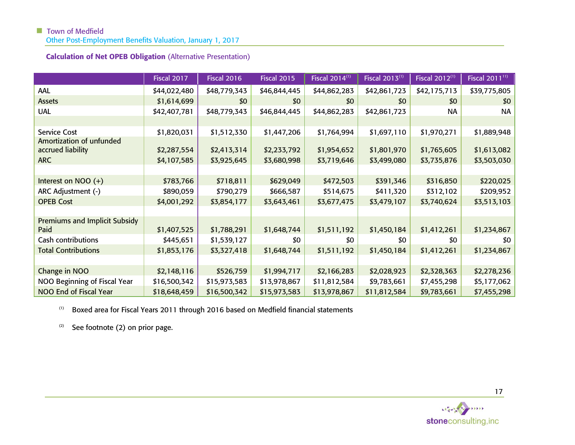# **Town of Medfield**

Other Post-Employment Benefits Valuation, January 1, 2017

| <b>Calculation of Net OPEB Obligation (Alternative Presentation)</b> |  |  |  |
|----------------------------------------------------------------------|--|--|--|
|----------------------------------------------------------------------|--|--|--|

|                                               | <b>Fiscal 2017</b> | <b>Fiscal 2016</b> | Fiscal 2015  | Fiscal 2014 <sup>(1)</sup> | Fiscal 2013 <sup>(1)</sup> | Fiscal 2012 <sup>(1)</sup> | Fiscal 2011 <sup>11)</sup> |
|-----------------------------------------------|--------------------|--------------------|--------------|----------------------------|----------------------------|----------------------------|----------------------------|
| <b>AAL</b>                                    | \$44,022,480       | \$48,779,343       | \$46,844,445 | \$44,862,283               | \$42,861,723               | \$42,175,713               | \$39,775,805               |
| <b>Assets</b>                                 | \$1,614,699        | \$0                | \$0          | \$0                        | \$0                        | \$0                        | \$0                        |
| <b>UAL</b>                                    | \$42,407,781       | \$48,779,343       | \$46,844,445 | \$44,862,283               | \$42,861,723               | <b>NA</b>                  | <b>NA</b>                  |
|                                               |                    |                    |              |                            |                            |                            |                            |
| <b>Service Cost</b>                           | \$1,820,031        | \$1,512,330        | \$1,447,206  | \$1,764,994                | \$1,697,110                | \$1,970,271                | \$1,889,948                |
| Amortization of unfunded<br>accrued liability | \$2,287,554        | \$2,413,314        | \$2,233,792  | \$1,954,652                | \$1,801,970                | \$1,765,605                | \$1,613,082                |
| <b>ARC</b>                                    | \$4,107,585        | \$3,925,645        | \$3,680,998  | \$3,719,646                | \$3,499,080                | \$3,735,876                | \$3,503,030                |
|                                               |                    |                    |              |                            |                            |                            |                            |
| Interest on NOO (+)                           | \$783,766          | \$718,811          | \$629,049    | \$472,503                  | \$391,346                  | \$316,850                  | \$220,025                  |
| ARC Adjustment (-)                            | \$890,059          | \$790,279          | \$666,587    | \$514,675                  | \$411,320                  | \$312,102                  | \$209,952                  |
| <b>OPEB Cost</b>                              | \$4,001,292        | \$3,854,177        | \$3,643,461  | \$3,677,475                | \$3,479,107                | \$3,740,624                | \$3,513,103                |
|                                               |                    |                    |              |                            |                            |                            |                            |
| <b>Premiums and Implicit Subsidy</b><br>Paid  | \$1,407,525        | \$1,788,291        | \$1,648,744  | \$1,511,192                | \$1,450,184                | \$1,412,261                | \$1,234,867                |
| Cash contributions                            | \$445,651          | \$1,539,127        | \$0          | \$0                        | \$0                        | \$0                        | \$0                        |
| <b>Total Contributions</b>                    | \$1,853,176        | \$3,327,418        | \$1,648,744  | \$1,511,192                | \$1,450,184                | \$1,412,261                | \$1,234,867                |
| Change in NOO                                 | \$2,148,116        | \$526,759          | \$1,994,717  | \$2,166,283                | \$2,028,923                | \$2,328,363                | \$2,278,236                |
| NOO Beginning of Fiscal Year                  | \$16,500,342       | \$15,973,583       | \$13,978,867 | \$11,812,584               | \$9,783,661                | \$7,455,298                | \$5,177,062                |
| NOO End of Fiscal Year                        | \$18,648,459       | \$16,500,342       | \$15,973,583 | \$13,978,867               | \$11,812,584               | \$9,783,661                | \$7,455,298                |

 $(1)$  Boxed area for Fiscal Years 2011 through 2016 based on Medfield financial statements

 $(2)$  See footnote (2) on prior page.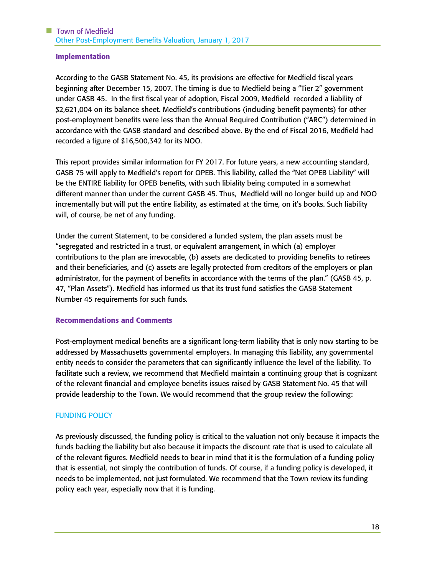## Implementation

According to the GASB Statement No. 45, its provisions are effective for Medfield fiscal years beginning after December 15, 2007. The timing is due to Medfield being a "Tier 2" government under GASB 45. In the first fiscal year of adoption, Fiscal 2009, Medfield recorded a liability of \$2,621,004 on its balance sheet. Medfield's contributions (including benefit payments) for other post-employment benefits were less than the Annual Required Contribution ("ARC") determined in accordance with the GASB standard and described above. By the end of Fiscal 2016, Medfield had recorded a figure of \$16,500,342 for its NOO.

This report provides similar information for FY 2017. For future years, a new accounting standard, GASB 75 will apply to Medfield's report for OPEB. This liability, called the "Net OPEB Liability" will be the ENTIRE liability for OPEB benefits, with such libiality being computed in a somewhat different manner than under the current GASB 45. Thus, Medfield will no longer build up and NOO incrementally but will put the entire liability, as estimated at the time, on it's books. Such liability will, of course, be net of any funding.

Under the current Statement, to be considered a funded system, the plan assets must be "segregated and restricted in a trust, or equivalent arrangement, in which (a) employer contributions to the plan are irrevocable, (b) assets are dedicated to providing benefits to retirees and their beneficiaries, and (c) assets are legally protected from creditors of the employers or plan administrator, for the payment of benefits in accordance with the terms of the plan." (GASB 45, p. 47, "Plan Assets"). Medfield has informed us that its trust fund satisfies the GASB Statement Number 45 requirements for such funds.

#### Recommendations and Comments

Post-employment medical benefits are a significant long-term liability that is only now starting to be addressed by Massachusetts governmental employers. In managing this liability, any governmental entity needs to consider the parameters that can significantly influence the level of the liability. To facilitate such a review, we recommend that Medfield maintain a continuing group that is cognizant of the relevant financial and employee benefits issues raised by GASB Statement No. 45 that will provide leadership to the Town. We would recommend that the group review the following:

# FUNDING POLICY

As previously discussed, the funding policy is critical to the valuation not only because it impacts the funds backing the liability but also because it impacts the discount rate that is used to calculate all of the relevant figures. Medfield needs to bear in mind that it is the formulation of a funding policy that is essential, not simply the contribution of funds. Of course, if a funding policy is developed, it needs to be implemented, not just formulated. We recommend that the Town review its funding policy each year, especially now that it is funding.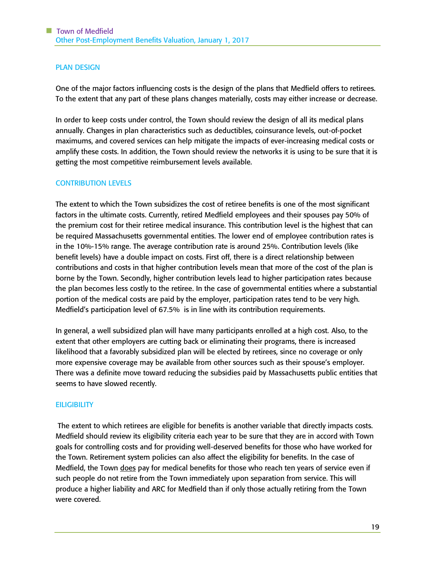# PLAN DESIGN

One of the major factors influencing costs is the design of the plans that Medfield offers to retirees. To the extent that any part of these plans changes materially, costs may either increase or decrease.

In order to keep costs under control, the Town should review the design of all its medical plans annually. Changes in plan characteristics such as deductibles, coinsurance levels, out-of-pocket maximums, and covered services can help mitigate the impacts of ever-increasing medical costs or amplify these costs. In addition, the Town should review the networks it is using to be sure that it is getting the most competitive reimbursement levels available.

#### CONTRIBUTION LEVELS

The extent to which the Town subsidizes the cost of retiree benefits is one of the most significant factors in the ultimate costs. Currently, retired Medfield employees and their spouses pay 50% of the premium cost for their retiree medical insurance. This contribution level is the highest that can be required Massachusetts governmental entities. The lower end of employee contribution rates is in the 10%-15% range. The average contribution rate is around 25%. Contribution levels (like benefit levels) have a double impact on costs. First off, there is a direct relationship between contributions and costs in that higher contribution levels mean that more of the cost of the plan is borne by the Town. Secondly, higher contribution levels lead to higher participation rates because the plan becomes less costly to the retiree. In the case of governmental entities where a substantial portion of the medical costs are paid by the employer, participation rates tend to be very high. Medfield's participation level of 67.5% is in line with its contribution requirements.

In general, a well subsidized plan will have many participants enrolled at a high cost. Also, to the extent that other employers are cutting back or eliminating their programs, there is increased likelihood that a favorably subsidized plan will be elected by retirees, since no coverage or only more expensive coverage may be available from other sources such as their spouse's employer. There was a definite move toward reducing the subsidies paid by Massachusetts public entities that seems to have slowed recently.

#### **EILIGIBILITY**

The extent to which retirees are eligible for benefits is another variable that directly impacts costs. Medfield should review its eligibility criteria each year to be sure that they are in accord with Town goals for controlling costs and for providing well-deserved benefits for those who have worked for the Town. Retirement system policies can also affect the eligibility for benefits. In the case of Medfield, the Town does pay for medical benefits for those who reach ten years of service even if such people do not retire from the Town immediately upon separation from service. This will produce a higher liability and ARC for Medfield than if only those actually retiring from the Town were covered.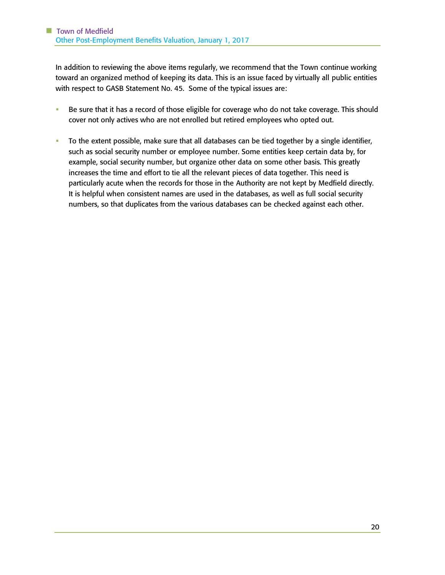In addition to reviewing the above items regularly, we recommend that the Town continue working toward an organized method of keeping its data. This is an issue faced by virtually all public entities with respect to GASB Statement No. 45. Some of the typical issues are:

- **EXEDEE SHIFT EXEDEE SHIFT FOR SHIFT PS** Be sure that it has a record of the should be sure that it has a record of those eligible for coverage of the should cover not only actives who are not enrolled but retired employees who opted out.
- To the extent possible, make sure that all databases can be tied together by a single identifier, such as social security number or employee number. Some entities keep certain data by, for example, social security number, but organize other data on some other basis. This greatly increases the time and effort to tie all the relevant pieces of data together. This need is particularly acute when the records for those in the Authority are not kept by Medfield directly. It is helpful when consistent names are used in the databases, as well as full social security numbers, so that duplicates from the various databases can be checked against each other.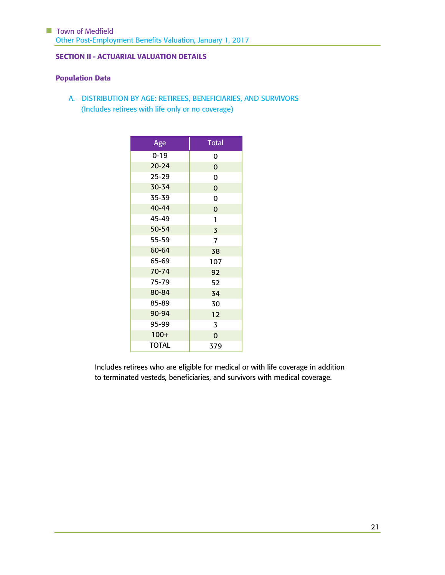# SECTION II - ACTUARIAL VALUATION DETAILS

# Population Data

A. DISTRIBUTION BY AGE: RETIREES, BENEFICIARIES, AND SURVIVORS (Includes retirees with life only or no coverage)

| Age          | <b>Total</b>   |
|--------------|----------------|
| $0 - 19$     | 0              |
| $20 - 24$    | $\overline{0}$ |
| $25 - 29$    | 0              |
| 30-34        | $\mathbf 0$    |
| 35-39        | 0              |
| 40-44        | $\mathbf 0$    |
| 45-49        | 1              |
| 50-54        | $\overline{3}$ |
| 55-59        | $\overline{1}$ |
| 60-64        | 38             |
| 65-69        | 107            |
| $70 - 74$    | 92             |
| 75-79        | 52             |
| 80-84        | 34             |
| 85-89        | 30             |
| 90-94        | 12             |
| 95-99        | 3              |
| $100+$       | $\overline{0}$ |
| <b>TOTAL</b> | 379            |

Includes retirees who are eligible for medical or with life coverage in addition to terminated vesteds, beneficiaries, and survivors with medical coverage.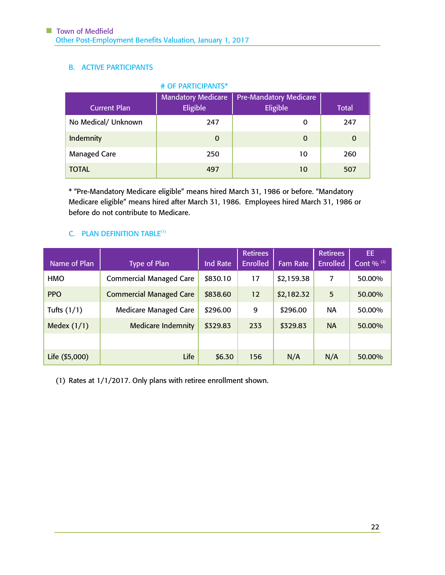# B. ACTIVE PARTICIPANTS

| # OF PARTICIPANTS*  |                                       |                                           |              |  |  |  |  |
|---------------------|---------------------------------------|-------------------------------------------|--------------|--|--|--|--|
| <b>Current Plan</b> | <b>Mandatory Medicare</b><br>Eligible | <b>Pre-Mandatory Medicare</b><br>Eligible | <b>Total</b> |  |  |  |  |
| No Medical/ Unknown | 247                                   | 0                                         | 247          |  |  |  |  |
| Indemnity           | $\Omega$                              | $\Omega$                                  | $\Omega$     |  |  |  |  |
| <b>Managed Care</b> | 250                                   | 10                                        | 260          |  |  |  |  |
| <b>TOTAL</b>        | 497                                   | 10                                        | 507          |  |  |  |  |

\* "Pre-Mandatory Medicare eligible" means hired March 31, 1986 or before. "Mandatory Medicare eligible" means hired after March 31, 1986. Employees hired March 31, 1986 or before do not contribute to Medicare.

# C. PLAN DEFINITION TABLE<sup>(1)</sup>

| Name of Plan   | <b>Type of Plan</b>            | <b>Ind Rate</b> | <b>Retirees</b><br><b>Enrolled</b> | <b>Fam Rate</b> | <b>Retirees</b><br><b>Enrolled</b> | EE.<br>Cont % $(2)$ |
|----------------|--------------------------------|-----------------|------------------------------------|-----------------|------------------------------------|---------------------|
| <b>HMO</b>     | <b>Commercial Managed Care</b> | \$830.10        | 17                                 | \$2,159.38      | 7                                  | 50.00%              |
| <b>PPO</b>     | <b>Commercial Managed Care</b> | \$838.60        | 12                                 | \$2,182.32      | 5                                  | 50.00%              |
| Tufts $(1/1)$  | <b>Medicare Managed Care</b>   | \$296.00        | 9                                  | \$296.00        | <b>NA</b>                          | 50.00%              |
| Medex $(1/1)$  | <b>Medicare Indemnity</b>      | \$329.83        | 233                                | \$329.83        | <b>NA</b>                          | 50.00%              |
|                |                                |                 |                                    |                 |                                    |                     |
| Life (\$5,000) | Life                           | \$6.30          | 156                                | N/A             | N/A                                | 50.00%              |

(1) Rates at 1/1/2017. Only plans with retiree enrollment shown.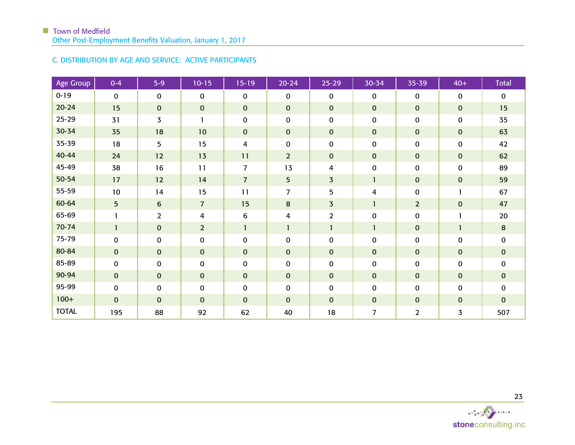# C. DISTRIBUTION BY AGE AND SERVICE: ACTIVE PARTICIPANTS

| <b>Age Group</b> | $0 - 4$      | $5-9$            | $10 - 15$      | $15 - 19$      | $20 - 24$      | $25 - 29$      | 30-34          | 35-39          | $40+$          | <b>Total</b> |
|------------------|--------------|------------------|----------------|----------------|----------------|----------------|----------------|----------------|----------------|--------------|
| $0 - 19$         | $\Omega$     | $\mathbf{0}$     | $\mathbf 0$    | $\mathbf 0$    | $\mathbf 0$    | 0              | $\mathbf{0}$   | $\mathbf{0}$   | $\mathbf 0$    | $\mathbf 0$  |
| $20 - 24$        | 15           | $\mathbf{0}$     | $\mathbf 0$    | $\mathbf 0$    | $\mathbf 0$    | $\pmb{0}$      | $\mathbf 0$    | $\mathbf 0$    | $\mathbf 0$    | 15           |
| $25 - 29$        | 31           | $\overline{3}$   | $\mathbf{1}$   | $\pmb{0}$      | $\pmb{0}$      | $\mathbf 0$    | $\mathbf 0$    | $\mathbf 0$    | 0              | 35           |
| 30-34            | 35           | 18               | 10             | $\mathbf 0$    | $\mathbf 0$    | $\pmb{0}$      | $\mathbf{0}$   | $\mathbf 0$    | $\pmb{0}$      | 63           |
| 35-39            | 18           | 5                | 15             | 4              | 0              | 0              | 0              | 0              | 0              | 42           |
| 40-44            | 24           | 12               | 13             | 11             | $\overline{2}$ | 0              | $\mathbf{0}$   | $\pmb{0}$      | $\mathbf 0$    | 62           |
| 45-49            | 38           | 16               | 11             | $\overline{7}$ | 13             | 4              | $\mathbf 0$    | $\pmb{0}$      | 0              | 89           |
| 50-54            | 17           | 12               | 14             | $\overline{7}$ | 5              | $\overline{3}$ | $\mathbf{1}$   | $\pmb{0}$      | $\mathbf 0$    | 59           |
| 55-59            | 10           | 14               | 15             | 11             | $\overline{7}$ | 5              | 4              | $\pmb{0}$      | 1              | 67           |
| 60-64            | 5            | $\boldsymbol{6}$ | $\overline{7}$ | 15             | 8              | 3              | $\mathbf{1}$   | $\overline{2}$ | $\mathbf 0$    | 47           |
| 65-69            |              | $\overline{2}$   | 4              | 6              | $\overline{4}$ | $\overline{2}$ | $\mathbf{0}$   | 0              |                | 20           |
| 70-74            | $\mathbf{1}$ | $\mathbf{0}$     | $\overline{2}$ | $\mathbf{1}$   | 1              | $\mathbf{1}$   | 1              | $\pmb{0}$      | $\mathbf{1}$   | 8            |
| 75-79            | 0            | 0                | $\mathbf 0$    | $\mathbf 0$    | $\mathbf 0$    | $\mathbf 0$    | $\mathbf 0$    | $\mathbf 0$    | 0              | $\mathbf 0$  |
| 80-84            | 0            | $\mathbf{0}$     | $\mathbf 0$    | $\mathbf 0$    | $\mathbf 0$    | $\pmb{0}$      | $\mathbf 0$    | $\pmb{0}$      | $\pmb{0}$      | $\mathbf{0}$ |
| 85-89            | 0            | $\mathbf 0$      | $\mathbf 0$    | $\pmb{0}$      | $\mathbf 0$    | $\pmb{0}$      | $\mathbf 0$    | $\pmb{0}$      | $\pmb{0}$      | $\mathbf 0$  |
| 90-94            | 0            | $\mathbf{O}$     | $\mathbf{0}$   | $\mathbf 0$    | $\mathbf{0}$   | $\mathbf 0$    | $\mathbf 0$    | $\pmb{0}$      | $\pmb{0}$      | $\mathbf{0}$ |
| 95-99            | 0            | 0                | $\mathbf 0$    | $\pmb{0}$      | $\mathbf 0$    | 0              | $\mathbf{0}$   | $\mathbf 0$    | 0              | $\mathbf 0$  |
| $100+$           | 0            | $\mathbf{0}$     | $\mathbf{0}$   | $\mathbf 0$    | $\mathbf 0$    | $\mathbf 0$    | $\mathbf{0}$   | $\pmb{0}$      | $\pmb{0}$      | $\mathbf{0}$ |
| <b>TOTAL</b>     | 195          | 88               | 92             | 62             | 40             | 18             | $\overline{7}$ | $\overline{2}$ | $\overline{3}$ | 507          |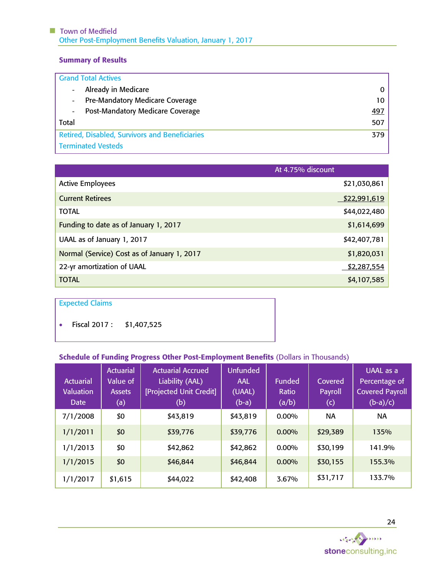# Summary of Results

| <b>Grand Total Actives</b>                            |            |
|-------------------------------------------------------|------------|
| Already in Medicare                                   | 0          |
| <b>Pre-Mandatory Medicare Coverage</b>                | 10         |
| <b>Post-Mandatory Medicare Coverage</b><br>۰.         | <u>497</u> |
| Total                                                 | 507        |
| <b>Retired, Disabled, Survivors and Beneficiaries</b> | 379        |
| <b>Terminated Vesteds</b>                             |            |

|                                             | At 4.75% discount |
|---------------------------------------------|-------------------|
| <b>Active Employees</b>                     | \$21,030,861      |
| <b>Current Retirees</b>                     | \$22,991,619      |
| <b>TOTAL</b>                                | \$44,022,480      |
| Funding to date as of January 1, 2017       | \$1,614,699       |
| UAAL as of January 1, 2017                  | \$42,407,781      |
| Normal (Service) Cost as of January 1, 2017 | \$1,820,031       |
| 22-yr amortization of UAAL                  | \$2,287,554       |
| TOTAL                                       | \$4,107,585       |

# Expected Claims

• Fiscal 2017 : \$1,407,525

# Schedule of Funding Progress Other Post-Employment Benefits (Dollars in Thousands)

| <b>Actuarial</b><br><b>Valuation</b><br><b>Date</b> | <b>Actuarial</b><br>Value of<br><b>Assets</b><br>$\sf(a)$ | <b>Actuarial Accrued</b><br>Liability (AAL)<br>[Projected Unit Credit]<br>(b) | <b>Unfunded</b><br><b>AAL</b><br>(UAAL)<br>$(b-a)$ | Funded<br>Ratio<br>(a/b) | Covered<br>Payroll<br>$\left(  c \right)$ | UAAL as a<br>Percentage of<br><b>Covered Payroll</b><br>$(b-a)/c)$ |
|-----------------------------------------------------|-----------------------------------------------------------|-------------------------------------------------------------------------------|----------------------------------------------------|--------------------------|-------------------------------------------|--------------------------------------------------------------------|
| 7/1/2008                                            | \$0                                                       | \$43,819                                                                      | \$43,819                                           | $0.00\%$                 | <b>NA</b>                                 | <b>NA</b>                                                          |
| 1/1/2011                                            | \$0                                                       | \$39,776                                                                      | \$39,776                                           | $0.00\%$                 | \$29,389                                  | 135%                                                               |
| 1/1/2013                                            | \$0                                                       | \$42,862                                                                      | \$42,862                                           | $0.00\%$                 | \$30,199                                  | 141.9%                                                             |
| 1/1/2015                                            | \$0                                                       | \$46,844                                                                      | \$46,844                                           | $0.00\%$                 | \$30,155                                  | 155.3%                                                             |
| 1/1/2017                                            | \$1,615                                                   | \$44,022                                                                      | \$42,408                                           | 3.67%                    | \$31,717                                  | 133.7%                                                             |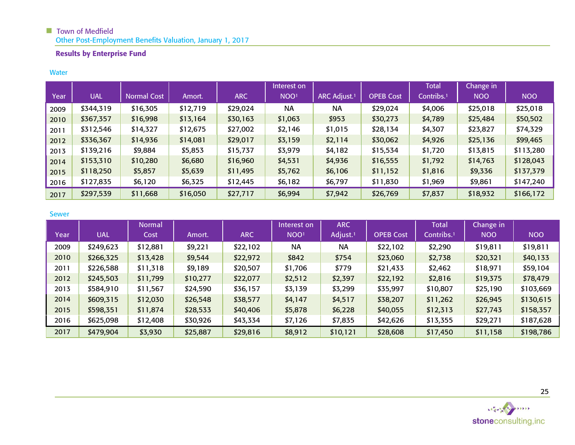# Results by Enterprise Fund

#### **Water**

|      |            |                    |          |            | Interest on      |                          |                  | Total                  | Change in  |            |
|------|------------|--------------------|----------|------------|------------------|--------------------------|------------------|------------------------|------------|------------|
| Year | <b>UAL</b> | <b>Normal Cost</b> | Amort.   | <b>ARC</b> | NOO <sup>1</sup> | ARC Adjust. <sup>1</sup> | <b>OPEB</b> Cost | Contribs. <sup>1</sup> | <b>NOO</b> | <b>NOO</b> |
| 2009 | \$344,319  | \$16,305           | \$12,719 | \$29,024   | <b>NA</b>        | <b>NA</b>                | \$29,024         | \$4,006                | \$25,018   | \$25,018   |
| 2010 | \$367,357  | \$16,998           | \$13,164 | \$30,163   | \$1,063          | \$953                    | \$30,273         | \$4,789                | \$25,484   | \$50,502   |
| 2011 | \$312,546  | \$14,327           | \$12,675 | \$27,002   | \$2,146          | \$1,015                  | \$28,134         | \$4,307                | \$23,827   | \$74,329   |
| 2012 | \$336,367  | \$14,936           | \$14,081 | \$29,017   | \$3,159          | \$2,114                  | \$30,062         | \$4,926                | \$25,136   | \$99,465   |
| 2013 | \$139,216  | \$9,884            | \$5,853  | \$15,737   | \$3,979          | \$4,182                  | \$15,534         | \$1,720                | \$13,815   | \$113,280  |
| 2014 | \$153,310  | \$10,280           | \$6,680  | \$16,960   | \$4,531          | \$4,936                  | \$16,555         | \$1,792                | \$14,763   | \$128,043  |
| 2015 | \$118,250  | \$5,857            | \$5,639  | \$11,495   | \$5,762          | \$6,106                  | \$11,152         | \$1,816                | \$9,336    | \$137,379  |
| 2016 | \$127,835  | \$6,120            | \$6,325  | \$12,445   | \$6,182          | \$6,797                  | \$11,830         | \$1,969                | \$9,861    | \$147,240  |
| 2017 | \$297,539  | \$11,668           | \$16,050 | \$27,717   | \$6,994          | \$7,942                  | \$26,769         | \$7,837                | \$18,932   | \$166,172  |

#### Sewer

|      |            | <b>Normal</b> |          |            | Interest on      | <b>ARC</b>           |                  | Total                  | Change in  |            |
|------|------------|---------------|----------|------------|------------------|----------------------|------------------|------------------------|------------|------------|
| Year | <b>UAL</b> | Cost          | Amort.   | <b>ARC</b> | NOO <sup>1</sup> | Adjust. <sup>1</sup> | <b>OPEB Cost</b> | Contribs. <sup>1</sup> | <b>NOO</b> | <b>NOO</b> |
| 2009 | \$249,623  | \$12,881      | \$9,221  | \$22,102   | <b>NA</b>        | <b>NA</b>            | \$22,102         | \$2,290                | \$19,811   | \$19,811   |
| 2010 | \$266,325  | \$13,428      | \$9,544  | \$22,972   | \$842            | \$754                | \$23,060         | \$2,738                | \$20,321   | \$40,133   |
| 2011 | \$226,588  | \$11,318      | \$9,189  | \$20,507   | \$1,706          | \$779                | \$21,433         | \$2,462                | \$18,971   | \$59,104   |
| 2012 | \$245,503  | \$11,799      | \$10,277 | \$22,077   | \$2,512          | \$2,397              | \$22,192         | \$2,816                | \$19,375   | \$78,479   |
| 2013 | \$584,910  | \$11,567      | \$24,590 | \$36,157   | \$3,139          | \$3,299              | \$35,997         | \$10,807               | \$25,190   | \$103,669  |
| 2014 | \$609,315  | \$12,030      | \$26,548 | \$38,577   | \$4,147          | \$4,517              | \$38,207         | \$11,262               | \$26,945   | \$130,615  |
| 2015 | \$598,351  | \$11,874      | \$28,533 | \$40,406   | \$5,878          | \$6,228              | \$40,055         | \$12,313               | \$27,743   | \$158,357  |
| 2016 | \$625,098  | \$12,408      | \$30,926 | \$43,334   | \$7,126          | \$7,835              | \$42,626         | \$13,355               | \$29,271   | \$187,628  |
| 2017 | \$479,904  | \$3,930       | \$25,887 | \$29,816   | \$8,912          | \$10,121             | \$28,608         | \$17,450               | \$11,158   | \$198,786  |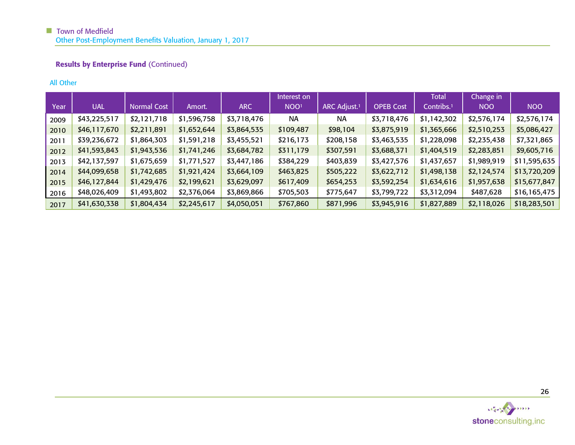# Results by Enterprise Fund (Continued)

# All Other

|      |              |                    |             |             | Interest on      |                          |                  | Total                  | Change in   |              |
|------|--------------|--------------------|-------------|-------------|------------------|--------------------------|------------------|------------------------|-------------|--------------|
| Year | <b>UAL</b>   | <b>Normal Cost</b> | Amort.      | <b>ARC</b>  | NOO <sup>1</sup> | ARC Adjust. <sup>1</sup> | <b>OPEB Cost</b> | Contribs. <sup>1</sup> | <b>NOO</b>  | <b>NOO</b>   |
| 2009 | \$43,225,517 | \$2,121,718        | \$1,596,758 | \$3,718,476 | <b>NA</b>        | <b>NA</b>                | \$3,718,476      | \$1,142,302            | \$2,576,174 | \$2,576,174  |
| 2010 | \$46,117,670 | \$2,211,891        | \$1,652,644 | \$3,864,535 | \$109,487        | \$98,104                 | \$3,875,919      | \$1,365,666            | \$2,510,253 | \$5,086,427  |
| 2011 | \$39,236,672 | \$1,864,303        | \$1,591,218 | \$3,455,521 | \$216,173        | \$208,158                | \$3,463,535      | \$1,228,098            | \$2,235,438 | \$7,321,865  |
| 2012 | \$41,593,843 | \$1,943,536        | \$1,741,246 | \$3,684,782 | \$311,179        | \$307,591                | \$3,688,371      | \$1,404,519            | \$2,283,851 | \$9,605,716  |
| 2013 | \$42,137,597 | \$1,675,659        | \$1,771,527 | \$3,447,186 | \$384,229        | \$403,839                | \$3,427,576      | \$1,437,657            | \$1,989,919 | \$11,595,635 |
| 2014 | \$44,099,658 | \$1,742,685        | \$1,921,424 | \$3,664,109 | \$463,825        | \$505,222                | \$3,622,712      | \$1,498,138            | \$2,124,574 | \$13,720,209 |
| 2015 | \$46,127,844 | \$1,429,476        | \$2,199,621 | \$3,629,097 | \$617,409        | \$654,253                | \$3,592,254      | \$1,634,616            | \$1,957,638 | \$15,677,847 |
| 2016 | \$48,026,409 | \$1,493,802        | \$2,376,064 | \$3,869,866 | \$705,503        | \$775,647                | \$3,799,722      | \$3,312,094            | \$487,628   | \$16,165,475 |
| 2017 | \$41,630,338 | \$1,804,434        | \$2,245,617 | \$4,050,051 | \$767,860        | \$871,996                | \$3,945,916      | \$1,827,889            | \$2,118,026 | \$18,283,501 |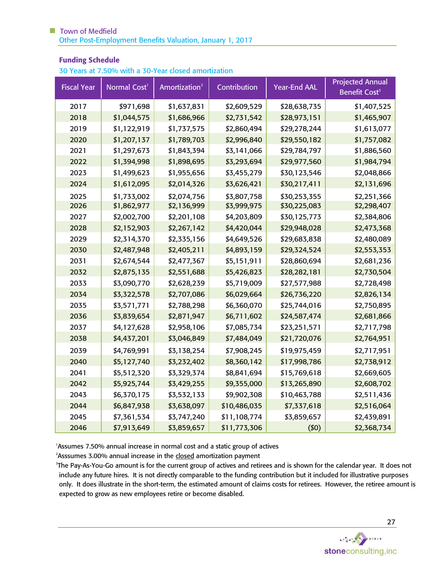## Funding Schedule

30 Years at 7.50% with a 30-Year closed amortization

| <b>Fiscal Year</b> | Normal Cost <sup>1</sup> | Amortization <sup>2</sup> | Contribution | <b>Year-End AAL</b> | <b>Projected Annual</b><br>Benefit Cost <sup>3</sup> |
|--------------------|--------------------------|---------------------------|--------------|---------------------|------------------------------------------------------|
| 2017               | \$971,698                | \$1,637,831               | \$2,609,529  | \$28,638,735        | \$1,407,525                                          |
| 2018               | \$1,044,575              | \$1,686,966               | \$2,731,542  | \$28,973,151        | \$1,465,907                                          |
| 2019               | \$1,122,919              | \$1,737,575               | \$2,860,494  | \$29,278,244        | \$1,613,077                                          |
| 2020               | \$1,207,137              | \$1,789,703               | \$2,996,840  | \$29,550,182        | \$1,757,082                                          |
| 2021               | \$1,297,673              | \$1,843,394               | \$3,141,066  | \$29,784,797        | \$1,886,560                                          |
| 2022               | \$1,394,998              | \$1,898,695               | \$3,293,694  | \$29,977,560        | \$1,984,794                                          |
| 2023               | \$1,499,623              | \$1,955,656               | \$3,455,279  | \$30,123,546        | \$2,048,866                                          |
| 2024               | \$1,612,095              | \$2,014,326               | \$3,626,421  | \$30,217,411        | \$2,131,696                                          |
| 2025               | \$1,733,002              | \$2,074,756               | \$3,807,758  | \$30,253,355        | \$2,251,366                                          |
| 2026               | \$1,862,977              | \$2,136,999               | \$3,999,975  | \$30,225,083        | \$2,298,407                                          |
| 2027               | \$2,002,700              | \$2,201,108               | \$4,203,809  | \$30,125,773        | \$2,384,806                                          |
| 2028               | \$2,152,903              | \$2,267,142               | \$4,420,044  | \$29,948,028        | \$2,473,368                                          |
| 2029               | \$2,314,370              | \$2,335,156               | \$4,649,526  | \$29,683,838        | \$2,480,089                                          |
| 2030               | \$2,487,948              | \$2,405,211               | \$4,893,159  | \$29,324,524        | \$2,553,353                                          |
| 2031               | \$2,674,544              | \$2,477,367               | \$5,151,911  | \$28,860,694        | \$2,681,236                                          |
| 2032               | \$2,875,135              | \$2,551,688               | \$5,426,823  | \$28,282,181        | \$2,730,504                                          |
| 2033               | \$3,090,770              | \$2,628,239               | \$5,719,009  | \$27,577,988        | \$2,728,498                                          |
| 2034               | \$3,322,578              | \$2,707,086               | \$6,029,664  | \$26,736,220        | \$2,826,134                                          |
| 2035               | \$3,571,771              | \$2,788,298               | \$6,360,070  | \$25,744,016        | \$2,750,895                                          |
| 2036               | \$3,839,654              | \$2,871,947               | \$6,711,602  | \$24,587,474        | \$2,681,866                                          |
| 2037               | \$4,127,628              | \$2,958,106               | \$7,085,734  | \$23,251,571        | \$2,717,798                                          |
| 2038               | \$4,437,201              | \$3,046,849               | \$7,484,049  | \$21,720,076        | \$2,764,951                                          |
| 2039               | \$4,769,991              | \$3,138,254               | \$7,908,245  | \$19,975,459        | \$2,717,951                                          |
| 2040               | \$5,127,740              | \$3,232,402               | \$8,360,142  | \$17,998,786        | \$2,738,912                                          |
| 2041               | \$5,512,320              | \$3,329,374               | \$8,841,694  | \$15,769,618        | \$2,669,605                                          |
| 2042               | \$5,925,744              | \$3,429,255               | \$9,355,000  | \$13,265,890        | \$2,608,702                                          |
| 2043               | \$6,370,175              | \$3,532,133               | \$9,902,308  | \$10,463,788        | \$2,511,436                                          |
| 2044               | \$6,847,938              | \$3,638,097               | \$10,486,035 | \$7,337,618         | \$2,516,064                                          |
| 2045               | \$7,361,534              | \$3,747,240               | \$11,108,774 | \$3,859,657         | \$2,439,891                                          |
| 2046               | \$7,913,649              | \$3,859,657               | \$11,773,306 | (50)                | \$2,368,734                                          |

<sup>1</sup>Assumes 7.50% annual increase in normal cost and a static group of actives

<sup>2</sup>Asssumes 3.00% annual increase in the closed amortization payment

 The Pay-As-You-Go amount is for the current group of actives and retirees and is shown for the calendar year. It does not include any future hires. It is not directly comparable to the funding contribution but it included for illustrative purposes only. It does illustrate in the short-term, the estimated amount of claims costs for retirees. However, the retiree amount is expected to grow as new employees retire or become disabled.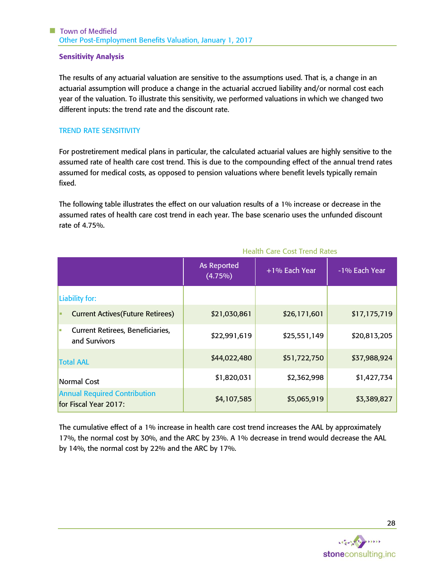## Sensitivity Analysis

The results of any actuarial valuation are sensitive to the assumptions used. That is, a change in an actuarial assumption will produce a change in the actuarial accrued liability and/or normal cost each year of the valuation. To illustrate this sensitivity, we performed valuations in which we changed two different inputs: the trend rate and the discount rate.

## TREND RATE SENSITIVITY

For postretirement medical plans in particular, the calculated actuarial values are highly sensitive to the assumed rate of health care cost trend. This is due to the compounding effect of the annual trend rates assumed for medical costs, as opposed to pension valuations where benefit levels typically remain fixed.

The following table illustrates the effect on our valuation results of a 1% increase or decrease in the assumed rates of health care cost trend in each year. The base scenario uses the unfunded discount rate of 4.75%.

|                                                                 | As Reported<br>$(4.75\%)$ | +1% Each Year | -1% Each Year |
|-----------------------------------------------------------------|---------------------------|---------------|---------------|
| Liability for:                                                  |                           |               |               |
| <b>Current Actives (Future Retirees)</b><br>٠                   | \$21,030,861              | \$26,171,601  | \$17,175,719  |
| <b>Current Retirees, Beneficiaries,</b><br>l a<br>and Survivors | \$22,991,619              | \$25,551,149  | \$20,813,205  |
| <b>Total AAL</b>                                                | \$44,022,480              | \$51,722,750  | \$37,988,924  |
| <b>Normal Cost</b>                                              | \$1,820,031               | \$2,362,998   | \$1,427,734   |
| <b>Annual Required Contribution</b><br>for Fiscal Year 2017:    | \$4,107,585               | \$5,065,919   | \$3,389,827   |

# Health Care Cost Trend Rates

The cumulative effect of a 1% increase in health care cost trend increases the AAL by approximately 17%, the normal cost by 30%, and the ARC by 23%. A 1% decrease in trend would decrease the AAL by 14%, the normal cost by 22% and the ARC by 17%.

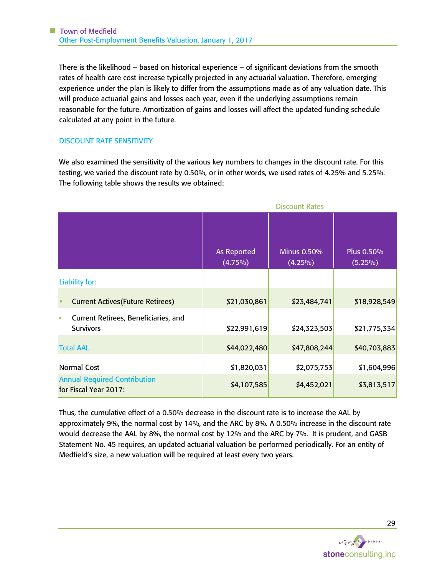There is the likelihood – based on historical experience – of significant deviations from the smooth rates of health care cost increase typically projected in any actuarial valuation. Therefore, emerging experience under the plan is likely to differ from the assumptions made as of any valuation date. This will produce actuarial gains and losses each year, even if the underlying assumptions remain reasonable for the future. Amortization of gains and losses will affect the updated funding schedule calculated at any point in the future.

## DISCOUNT RATE SENSITIVITY

We also examined the sensitivity of the various key numbers to changes in the discount rate. For this testing, we varied the discount rate by 0.50%, or in other words, we used rates of 4.25% and 5.25%. The following table shows the results we obtained:

|                                                               |                                  | <b>Discount Rates</b>            |                          |
|---------------------------------------------------------------|----------------------------------|----------------------------------|--------------------------|
|                                                               | <b>As Reported</b><br>$(4.75\%)$ | <b>Minus 0.50%</b><br>$(4.25\%)$ | Plus 0.50%<br>$(5.25\%)$ |
| Liability for:                                                |                                  |                                  |                          |
| <b>Current Actives (Future Retirees)</b><br>ш                 | \$21,030,861                     | \$23,484,741                     | \$18,928,549             |
| Current Retirees, Beneficiaries, and<br>ш<br><b>Survivors</b> | \$22,991,619                     | \$24,323,503                     | \$21,775,334             |
| <b>Total AAL</b>                                              | \$44,022,480                     | \$47,808,244                     | \$40,703,883             |
| Normal Cost                                                   | \$1,820,031                      | \$2,075,753                      | \$1,604,996              |
| <b>Annual Required Contribution</b><br>for Fiscal Year 2017:  | \$4,107,585                      | \$4,452,021                      | \$3,813,517              |

Thus, the cumulative effect of a 0.50% decrease in the discount rate is to increase the AAL by approximately 9%, the normal cost by 14%, and the ARC by 8%. A 0.50% increase in the discount rate would decrease the AAL by 8%, the normal cost by 12% and the ARC by 7%. It is prudent, and GASB Statement No. 45 requires, an updated actuarial valuation be performed periodically. For an entity of Medfield's size, a new valuation will be required at least every two years.

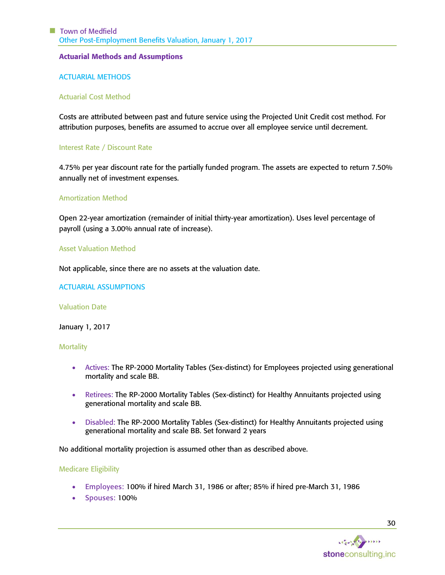#### Actuarial Methods and Assumptions

### ACTUARIAL METHODS

#### Actuarial Cost Method

Costs are attributed between past and future service using the Projected Unit Credit cost method. For attribution purposes, benefits are assumed to accrue over all employee service until decrement.

#### Interest Rate / Discount Rate

4.75% per year discount rate for the partially funded program. The assets are expected to return 7.50% annually net of investment expenses.

## Amortization Method

Open 22-year amortization (remainder of initial thirty-year amortization). Uses level percentage of payroll (using a 3.00% annual rate of increase).

#### Asset Valuation Method

Not applicable, since there are no assets at the valuation date.

ACTUARIAL ASSUMPTIONS

#### Valuation Date

January 1, 2017

#### **Mortality**

- Actives: The RP-2000 Mortality Tables (Sex-distinct) for Employees projected using generational mortality and scale BB.
- Retirees: The RP-2000 Mortality Tables (Sex-distinct) for Healthy Annuitants projected using generational mortality and scale BB.
- Disabled: The RP-2000 Mortality Tables (Sex-distinct) for Healthy Annuitants projected using generational mortality and scale BB. Set forward 2 years

No additional mortality projection is assumed other than as described above.

#### Medicare Eligibility

- Employees: 100% if hired March 31, 1986 or after; 85% if hired pre-March 31, 1986
- Spouses: 100%

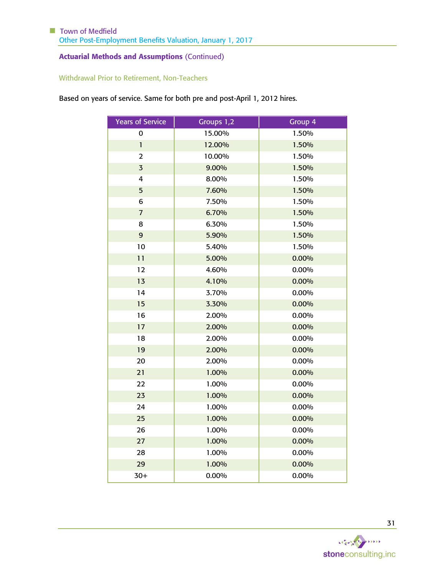# Withdrawal Prior to Retirement, Non-Teachers

Based on years of service. Same for both pre and post-April 1, 2012 hires.

| Years of Service | Groups 1,2 | Group 4 |
|------------------|------------|---------|
| 0                | 15.00%     | 1.50%   |
| $\mathbf{1}$     | 12.00%     | 1.50%   |
| $\overline{2}$   | 10.00%     | 1.50%   |
| $\overline{3}$   | 9.00%      | 1.50%   |
| 4                | 8.00%      | 1.50%   |
| 5                | 7.60%      | 1.50%   |
| 6                | 7.50%      | 1.50%   |
| 7                | 6.70%      | 1.50%   |
| 8                | 6.30%      | 1.50%   |
| 9                | 5.90%      | 1.50%   |
| 10               | 5.40%      | 1.50%   |
| 11               | 5.00%      | 0.00%   |
| 12               | 4.60%      | 0.00%   |
| 13               | 4.10%      | 0.00%   |
| 14               | 3.70%      | 0.00%   |
| 15               | 3.30%      | 0.00%   |
| 16               | 2.00%      | 0.00%   |
| 17               | 2.00%      | 0.00%   |
| 18               | 2.00%      | 0.00%   |
| 19               | 2.00%      | 0.00%   |
| 20               | 2.00%      | 0.00%   |
| 21               | 1.00%      | 0.00%   |
| 22               | 1.00%      | 0.00%   |
| 23               | 1.00%      | 0.00%   |
| 24               | 1.00%      | 0.00%   |
| 25               | 1.00%      | 0.00%   |
| 26               | 1.00%      | 0.00%   |
| 27               | 1.00%      | 0.00%   |
| 28               | 1.00%      | 0.00%   |
| 29               | 1.00%      | 0.00%   |
| $30+$            | 0.00%      | 0.00%   |

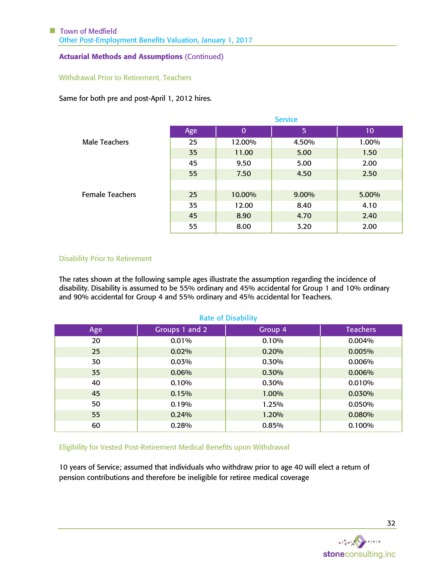### Withdrawal Prior to Retirement, Teachers

Same for both pre and post-April 1, 2012 hires.

|                        | <b>Service</b> |          |       |       |  |
|------------------------|----------------|----------|-------|-------|--|
|                        | Age            | $\bf{0}$ | 5     | 10    |  |
| <b>Male Teachers</b>   | 25             | 12.00%   | 4.50% | 1.00% |  |
|                        | 35             | 11.00    | 5.00  | 1.50  |  |
|                        | 45             | 9.50     | 5.00  | 2.00  |  |
|                        | 55             | 7.50     | 4.50  | 2.50  |  |
|                        |                |          |       |       |  |
| <b>Female Teachers</b> | 25             | 10.00%   | 9.00% | 5.00% |  |
|                        | 35             | 12.00    | 8.40  | 4.10  |  |
|                        | 45             | 8.90     | 4.70  | 2.40  |  |
|                        | 55             | 8.00     | 3.20  | 2.00  |  |

#### Disability Prior to Retirement

The rates shown at the following sample ages illustrate the assumption regarding the incidence of disability. Disability is assumed to be 55% ordinary and 45% accidental for Group 1 and 10% ordinary and 90% accidental for Group 4 and 55% ordinary and 45% accidental for Teachers.

#### Rate of Disability

| Age | Groups 1 and 2 | Group 4 | <b>Teachers</b> |
|-----|----------------|---------|-----------------|
| 20  | 0.01%          | 0.10%   | 0.004%          |
| 25  | 0.02%          | 0.20%   | 0.005%          |
| 30  | 0.03%          | 0.30%   | 0.006%          |
| 35  | 0.06%          | 0.30%   | 0.006%          |
| 40  | 0.10%          | 0.30%   | 0.010%          |
| 45  | 0.15%          | 1.00%   | 0.030%          |
| 50  | 0.19%          | 1.25%   | 0.050%          |
| 55  | 0.24%          | 1.20%   | 0.080%          |
| 60  | 0.28%          | 0.85%   | 0.100%          |

Eligibility for Vested Post-Retirement Medical Benefits upon Withdrawal

10 years of Service; assumed that individuals who withdraw prior to age 40 will elect a return of pension contributions and therefore be ineligible for retiree medical coverage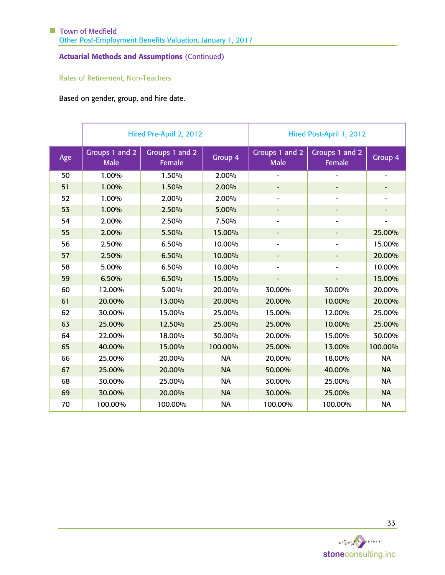# Rates of Retirement, Non-Teachers

Based on gender, group, and hire date.

|     |                               | Hired Pre-April 2, 2012  |           | Hired Post-April 1, 2012      |                              |                          |  |
|-----|-------------------------------|--------------------------|-----------|-------------------------------|------------------------------|--------------------------|--|
| Age | Groups 1 and 2<br><b>Male</b> | Groups 1 and 2<br>Female | Group 4   | Groups 1 and 2<br><b>Male</b> | Groups 1 and 2<br>Female     | Group 4                  |  |
| 50  | 1.00%                         | 1.50%                    | 2.00%     |                               |                              | $\overline{\phantom{a}}$ |  |
| 51  | 1.00%                         | 1.50%                    | 2.00%     |                               |                              |                          |  |
| 52  | 1.00%                         | 2.00%                    | 2.00%     | $\overline{\phantom{0}}$      | $\overline{a}$               |                          |  |
| 53  | 1.00%                         | 2.50%                    | 5.00%     | -                             |                              |                          |  |
| 54  | 2.00%                         | 2.50%                    | 7.50%     | -                             | $\qquad \qquad \blacksquare$ | $\overline{\phantom{a}}$ |  |
| 55  | 2.00%                         | 5.50%                    | 15.00%    | -                             | $\overline{\phantom{a}}$     | 25.00%                   |  |
| 56  | 2.50%                         | 6.50%                    | 10.00%    | $\overline{\phantom{0}}$      | $\qquad \qquad \blacksquare$ | 15.00%                   |  |
| 57  | 2.50%                         | 6.50%                    | 10.00%    | -                             |                              | 20.00%                   |  |
| 58  | 5.00%                         | 6.50%                    | 10.00%    |                               |                              | 10.00%                   |  |
| 59  | 6.50%                         | 6.50%                    | 15.00%    |                               |                              | 15.00%                   |  |
| 60  | 12.00%                        | 5.00%                    | 20.00%    | 30.00%                        | 30.00%                       | 20.00%                   |  |
| 61  | 20.00%                        | 13.00%                   | 20.00%    | 20.00%                        | 10.00%                       | 20.00%                   |  |
| 62  | 30.00%                        | 15.00%                   | 25.00%    | 15.00%                        | 12.00%                       | 25.00%                   |  |
| 63  | 25.00%                        | 12.50%                   | 25.00%    | 25.00%                        | 10.00%                       | 25.00%                   |  |
| 64  | 22.00%                        | 18.00%                   | 30.00%    | 20.00%                        | 15.00%                       | 30.00%                   |  |
| 65  | 40.00%                        | 15.00%                   | 100.00%   | 25.00%                        | 13.00%                       | 100.00%                  |  |
| 66  | 25.00%                        | 20.00%                   | <b>NA</b> | 20.00%                        | 18.00%                       | <b>NA</b>                |  |
| 67  | 25.00%                        | 20.00%                   | <b>NA</b> | 50.00%                        | 40.00%                       | <b>NA</b>                |  |
| 68  | 30.00%                        | 25.00%                   | <b>NA</b> | 30.00%                        | 25.00%                       | <b>NA</b>                |  |
| 69  | 30.00%                        | 20.00%                   | <b>NA</b> | 30.00%                        | 25.00%                       | <b>NA</b>                |  |
| 70  | 100.00%                       | 100.00%                  | <b>NA</b> | 100.00%                       | 100.00%                      | <b>NA</b>                |  |

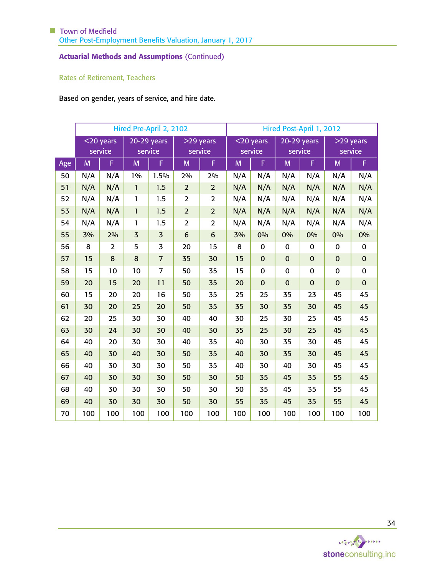# Rates of Retirement, Teachers

Based on gender, years of service, and hire date.

|     | Hired Pre-April 2, 2102 |                         |                |                          | Hired Post-April 1, 2012 |                        |     |                         |                          |             |                        |             |
|-----|-------------------------|-------------------------|----------------|--------------------------|--------------------------|------------------------|-----|-------------------------|--------------------------|-------------|------------------------|-------------|
|     |                         | $<$ 20 years<br>service |                | $20-29$ years<br>service |                          | $>29$ years<br>service |     | $<$ 20 years<br>service | $20-29$ years<br>service |             | $>29$ years<br>service |             |
| Age | M                       | F                       | M              | F                        | M                        | F                      | M   | F                       | M                        | F           | M                      | F           |
| 50  | N/A                     | N/A                     | 1%             | 1.5%                     | 2%                       | 2%                     | N/A | N/A                     | N/A                      | N/A         | N/A                    | N/A         |
| 51  | N/A                     | N/A                     | $\mathbf{1}$   | 1.5                      | $\overline{2}$           | $\overline{2}$         | N/A | N/A                     | N/A                      | N/A         | N/A                    | N/A         |
| 52  | N/A                     | N/A                     | 1              | 1.5                      | $\overline{2}$           | $\overline{2}$         | N/A | N/A                     | N/A                      | N/A         | N/A                    | N/A         |
| 53  | N/A                     | N/A                     | $\mathbf{1}$   | 1.5                      | $\overline{2}$           | $\overline{2}$         | N/A | N/A                     | N/A                      | N/A         | N/A                    | N/A         |
| 54  | N/A                     | N/A                     | 1              | 1.5                      | $\overline{2}$           | $\overline{2}$         | N/A | N/A                     | N/A                      | N/A         | N/A                    | N/A         |
| 55  | 3%                      | 2%                      | $\overline{3}$ | $\overline{3}$           | $6\phantom{1}6$          | $6\phantom{1}6$        | 3%  | 0%                      | 0%                       | 0%          | 0%                     | 0%          |
| 56  | 8                       | $\overline{2}$          | 5              | 3                        | 20                       | 15                     | 8   | 0                       | 0                        | 0           | 0                      | 0           |
| 57  | 15                      | $\bf 8$                 | 8              | $\overline{7}$           | 35                       | 30                     | 15  | $\mathbf 0$             | $\mathbf 0$              | $\mathbf 0$ | $\mathbf 0$            | $\mathbf 0$ |
| 58  | 15                      | 10                      | 10             | $\overline{7}$           | 50                       | 35                     | 15  | $\mathbf 0$             | $\pmb{0}$                | $\pmb{0}$   | $\pmb{0}$              | $\pmb{0}$   |
| 59  | 20                      | 15                      | 20             | 11                       | 50                       | 35                     | 20  | $\mathbf 0$             | $\mathbf 0$              | $\mathbf 0$ | $\mathbf 0$            | $\mathbf 0$ |
| 60  | 15                      | 20                      | 20             | 16                       | 50                       | 35                     | 25  | 25                      | 35                       | 23          | 45                     | 45          |
| 61  | 30                      | 20                      | 25             | 20                       | 50                       | 35                     | 35  | 30                      | 35                       | 30          | 45                     | 45          |
| 62  | 20                      | 25                      | 30             | 30                       | 40                       | 40                     | 30  | 25                      | 30                       | 25          | 45                     | 45          |
| 63  | 30                      | 24                      | 30             | 30                       | 40                       | 30                     | 35  | 25                      | 30                       | 25          | 45                     | 45          |
| 64  | 40                      | 20                      | 30             | 30                       | 40                       | 35                     | 40  | 30                      | 35                       | 30          | 45                     | 45          |
| 65  | 40                      | 30                      | 40             | 30                       | 50                       | 35                     | 40  | 30                      | 35                       | 30          | 45                     | 45          |
| 66  | 40                      | 30                      | 30             | 30                       | 50                       | 35                     | 40  | 30                      | 40                       | 30          | 45                     | 45          |
| 67  | 40                      | 30                      | 30             | 30                       | 50                       | 30                     | 50  | 35                      | 45                       | 35          | 55                     | 45          |
| 68  | 40                      | 30                      | 30             | 30                       | 50                       | 30                     | 50  | 35                      | 45                       | 35          | 55                     | 45          |
| 69  | 40                      | 30                      | 30             | 30                       | 50                       | 30                     | 55  | 35                      | 45                       | 35          | 55                     | 45          |
| 70  | 100                     | 100                     | 100            | 100                      | 100                      | 100                    | 100 | 100                     | 100                      | 100         | 100                    | 100         |

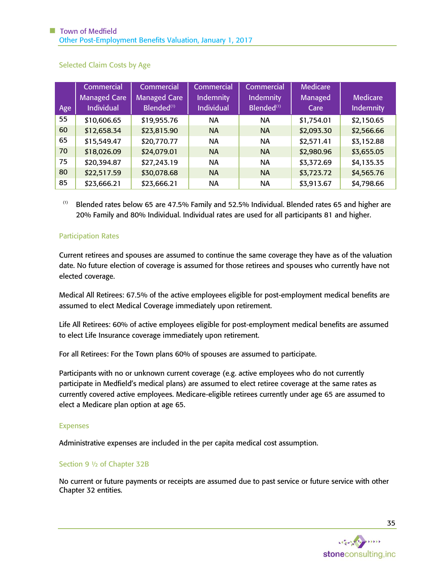| Age | Commercial <sup>1</sup><br><b>Managed Care</b><br><b>Individual</b> | Commercial <sup>'</sup><br><b>Managed Care</b><br>Blended <sup>(1)</sup> | <b>Commercial</b><br><b>Indemnity</b><br><b>Individual</b> | Commercial<br>Indemnity<br>Blended <sup>(1)</sup> | <b>Medicare</b><br>Managed<br>Care | <b>Medicare</b><br><b>Indemnity</b> |
|-----|---------------------------------------------------------------------|--------------------------------------------------------------------------|------------------------------------------------------------|---------------------------------------------------|------------------------------------|-------------------------------------|
| 55  | \$10,606.65                                                         | \$19,955.76                                                              | NA                                                         | NA                                                | \$1,754.01                         | \$2,150.65                          |
| 60  | \$12,658.34                                                         | \$23,815.90                                                              | <b>NA</b>                                                  | <b>NA</b>                                         | \$2,093.30                         | \$2,566.66                          |
| 65  | \$15,549.47                                                         | \$20,770.77                                                              | NA                                                         | <b>NA</b>                                         | \$2,571.41                         | \$3,152.88                          |
| 70  | \$18,026.09                                                         | \$24,079.01                                                              | <b>NA</b>                                                  | <b>NA</b>                                         | \$2,980.96                         | \$3,655.05                          |
| 75  | \$20,394.87                                                         | \$27,243.19                                                              | NA                                                         | <b>NA</b>                                         | \$3,372.69                         | \$4,135.35                          |
| 80  | \$22,517.59                                                         | \$30,078.68                                                              | <b>NA</b>                                                  | <b>NA</b>                                         | \$3,723.72                         | \$4,565.76                          |
| 85  | \$23,666.21                                                         | \$23,666.21                                                              | NА                                                         | <b>NA</b>                                         | \$3,913.67                         | \$4,798.66                          |

Selected Claim Costs by Age

(1) Blended rates below 65 are 47.5% Family and 52.5% Individual. Blended rates 65 and higher are 20% Family and 80% Individual. Individual rates are used for all participants 81 and higher.

## Participation Rates

Current retirees and spouses are assumed to continue the same coverage they have as of the valuation date. No future election of coverage is assumed for those retirees and spouses who currently have not elected coverage.

Medical All Retirees: 67.5% of the active employees eligible for post-employment medical benefits are assumed to elect Medical Coverage immediately upon retirement.

Life All Retirees: 60% of active employees eligible for post-employment medical benefits are assumed to elect Life Insurance coverage immediately upon retirement.

For all Retirees: For the Town plans 60% of spouses are assumed to participate.

Participants with no or unknown current coverage (e.g. active employees who do not currently participate in Medfield's medical plans) are assumed to elect retiree coverage at the same rates as currently covered active employees. Medicare-eligible retirees currently under age 65 are assumed to elect a Medicare plan option at age 65.

#### Expenses

Administrative expenses are included in the per capita medical cost assumption.

#### Section 9 ½ of Chapter 32B

No current or future payments or receipts are assumed due to past service or future service with other Chapter 32 entities.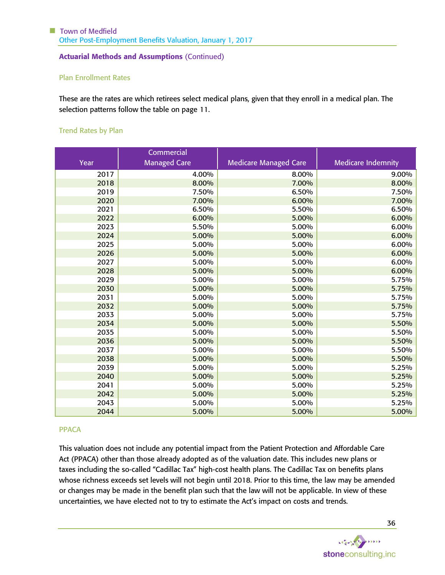#### Plan Enrollment Rates

These are the rates are which retirees select medical plans, given that they enroll in a medical plan. The selection patterns follow the table on page [11.](#page-12-0)

# Trend Rates by Plan

|      | Commercial          |                              |                           |
|------|---------------------|------------------------------|---------------------------|
| Year | <b>Managed Care</b> | <b>Medicare Managed Care</b> | <b>Medicare Indemnity</b> |
| 2017 | 4.00%               | 8.00%                        | 9.00%                     |
| 2018 | 8.00%               | 7.00%                        | 8.00%                     |
| 2019 | 7.50%               | 6.50%                        | 7.50%                     |
| 2020 | 7.00%               | 6.00%                        | 7.00%                     |
| 2021 | 6.50%               | 5.50%                        | 6.50%                     |
| 2022 | 6.00%               | 5.00%                        | 6.00%                     |
| 2023 | 5.50%               | 5.00%                        | 6.00%                     |
| 2024 | 5.00%               | 5.00%                        | 6.00%                     |
| 2025 | 5.00%               | 5.00%                        | 6.00%                     |
| 2026 | 5.00%               | 5.00%                        | 6.00%                     |
| 2027 | 5.00%               | 5.00%                        | 6.00%                     |
| 2028 | 5.00%               | 5.00%                        | 6.00%                     |
| 2029 | 5.00%               | 5.00%                        | 5.75%                     |
| 2030 | 5.00%               | 5.00%                        | 5.75%                     |
| 2031 | 5.00%               | 5.00%                        | 5.75%                     |
| 2032 | 5.00%               | 5.00%                        | 5.75%                     |
| 2033 | 5.00%               | 5.00%                        | 5.75%                     |
| 2034 | 5.00%               | 5.00%                        | 5.50%                     |
| 2035 | 5.00%               | 5.00%                        | 5.50%                     |
| 2036 | 5.00%               | 5.00%                        | 5.50%                     |
| 2037 | 5.00%               | 5.00%                        | 5.50%                     |
| 2038 | 5.00%               | 5.00%                        | 5.50%                     |
| 2039 | 5.00%               | 5.00%                        | 5.25%                     |
| 2040 | 5.00%               | 5.00%                        | 5.25%                     |
| 2041 | 5.00%               | 5.00%                        | 5.25%                     |
| 2042 | 5.00%               | 5.00%                        | 5.25%                     |
| 2043 | 5.00%               | 5.00%                        | 5.25%                     |
| 2044 | 5.00%               | 5.00%                        | 5.00%                     |

#### PPACA

This valuation does not include any potential impact from the Patient Protection and Affordable Care Act (PPACA) other than those already adopted as of the valuation date. This includes new plans or taxes including the so-called "Cadillac Tax" high-cost health plans. The Cadillac Tax on benefits plans whose richness exceeds set levels will not begin until 2018. Prior to this time, the law may be amended or changes may be made in the benefit plan such that the law will not be applicable. In view of these uncertainties, we have elected not to try to estimate the Act's impact on costs and trends.

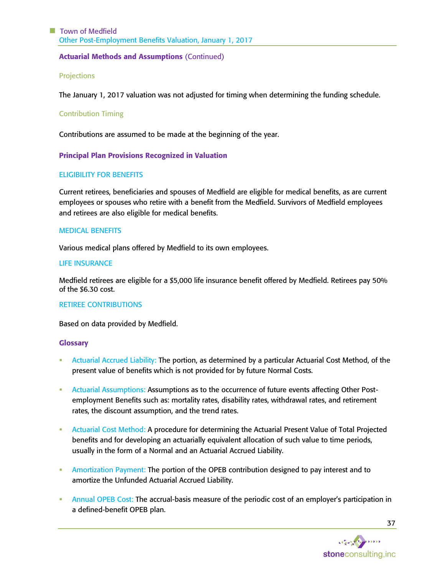### **Projections**

The January 1, 2017 valuation was not adjusted for timing when determining the funding schedule.

# Contribution Timing

Contributions are assumed to be made at the beginning of the year.

## Principal Plan Provisions Recognized in Valuation

#### ELIGIBILITY FOR BENEFITS

Current retirees, beneficiaries and spouses of Medfield are eligible for medical benefits, as are current employees or spouses who retire with a benefit from the Medfield. Survivors of Medfield employees and retirees are also eligible for medical benefits.

#### MEDICAL BENEFITS

Various medical plans offered by Medfield to its own employees.

#### LIFE INSURANCE

Medfield retirees are eligible for a \$5,000 life insurance benefit offered by Medfield. Retirees pay 50% of the \$6.30 cost.

#### RETIREE CONTRIBUTIONS

Based on data provided by Medfield.

#### **Glossary**

- Actuarial Accrued Liability: The portion, as determined by a particular Actuarial Cost Method, of the present value of benefits which is not provided for by future Normal Costs.
- **Actuarial Assumptions: Assumptions as to the occurrence of future events affecting Other Post**employment Benefits such as: mortality rates, disability rates, withdrawal rates, and retirement rates, the discount assumption, and the trend rates.
- **EXECT** Actuarial Cost Method: A procedure for determining the Actuarial Present Value of Total Projected benefits and for developing an actuarially equivalent allocation of such value to time periods, usually in the form of a Normal and an Actuarial Accrued Liability.
- **Amortization Payment: The portion of the OPEB contribution designed to pay interest and to** amortize the Unfunded Actuarial Accrued Liability.
- Annual OPEB Cost: The accrual-basis measure of the periodic cost of an employer's participation in a defined-benefit OPEB plan.